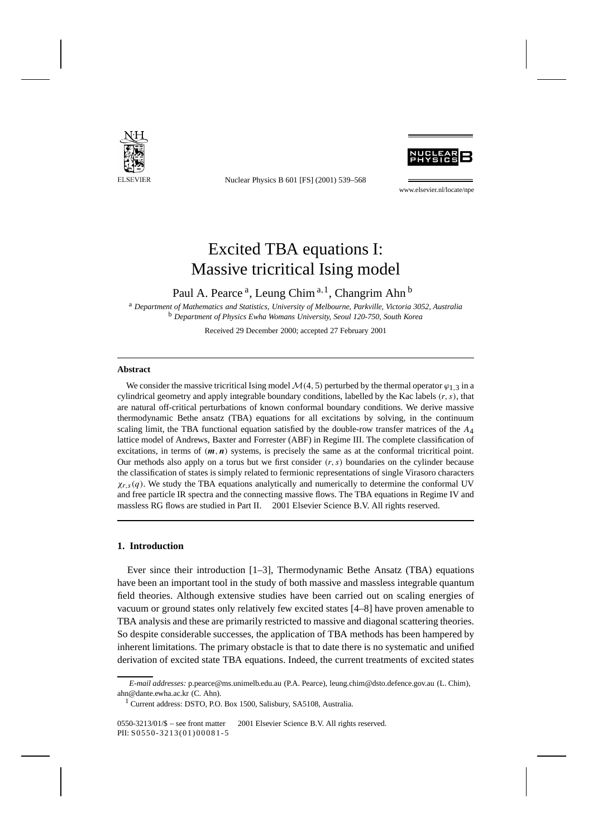

Nuclear Physics B 601 [FS] (2001) 539–568



www.elsevier.nl/locate/npe

# Excited TBA equations I: Massive tricritical Ising model

Paul A. Pearce<sup>a</sup>, Leung Chim<sup>a, 1</sup>, Changrim Ahn<sup>b</sup>

<sup>a</sup> *Department of Mathematics and Statistics, University of Melbourne, Parkville, Victoria 3052, Australia* <sup>b</sup> *Department of Physics Ewha Womans University, Seoul 120-750, South Korea*

Received 29 December 2000; accepted 27 February 2001

#### **Abstract**

We consider the massive tricritical Ising model  $\mathcal{M}(4, 5)$  perturbed by the thermal operator  $\varphi_1$  *3* in a cylindrical geometry and apply integrable boundary conditions, labelled by the Kac labels *(r, s)*, that are natural off-critical perturbations of known conformal boundary conditions. We derive massive thermodynamic Bethe ansatz (TBA) equations for all excitations by solving, in the continuum scaling limit, the TBA functional equation satisfied by the double-row transfer matrices of the *A*4 lattice model of Andrews, Baxter and Forrester (ABF) in Regime III. The complete classification of excitations, in terms of *(m,n)* systems, is precisely the same as at the conformal tricritical point. Our methods also apply on a torus but we first consider *(r, s)* boundaries on the cylinder because the classification of states is simply related to fermionic representations of single Virasoro characters *χr,s(q)*. We study the TBA equations analytically and numerically to determine the conformal UV and free particle IR spectra and the connecting massive flows. The TBA equations in Regime IV and massless RG flows are studied in Part II.  $\odot$  2001 Elsevier Science B.V. All rights reserved.

# **1. Introduction**

Ever since their introduction  $[1-3]$ , Thermodynamic Bethe Ansatz (TBA) equations have been an important tool in the study of both massive and massless integrable quantum field theories. Although extensive studies have been carried out on scaling energies of vacuum or ground states only relatively few excited states [4–8] have proven amenable to TBA analysis and these are primarily restricted to massive and diagonal scattering theories. So despite considerable successes, the application of TBA methods has been hampered by inherent limitations. The primary obstacle is that to date there is no systematic and unified derivation of excited state TBA equations. Indeed, the current treatments of excited states

*E-mail addresses:* p.pearce@ms.unimelb.edu.au (P.A. Pearce), leung.chim@dsto.defence.gov.au (L. Chim), ahn@dante.ewha.ac.kr (C. Ahn).

<sup>&</sup>lt;sup>1</sup> Current address: DSTO, P.O. Box 1500, Salisbury, SA5108, Australia.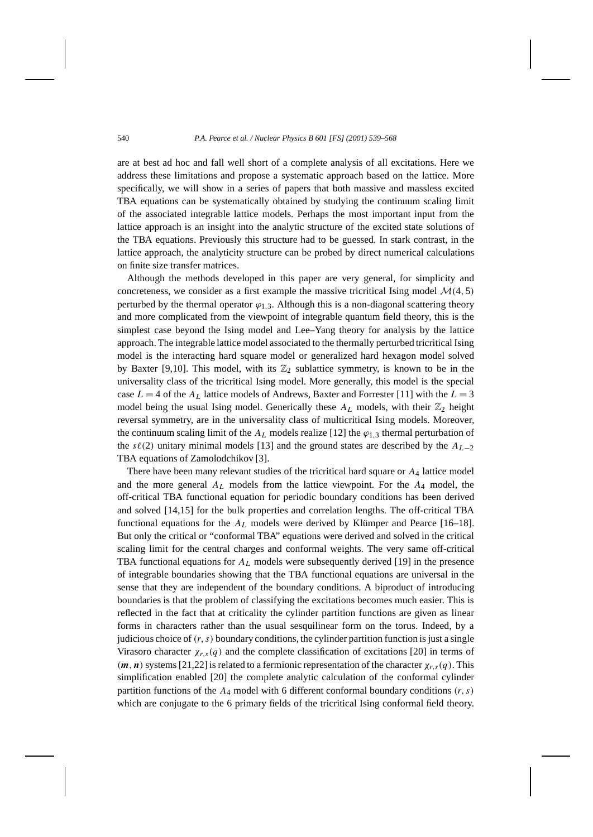are at best ad hoc and fall well short of a complete analysis of all excitations. Here we address these limitations and propose a systematic approach based on the lattice. More specifically, we will show in a series of papers that both massive and massless excited TBA equations can be systematically obtained by studying the continuum scaling limit of the associated integrable lattice models. Perhaps the most important input from the lattice approach is an insight into the analytic structure of the excited state solutions of the TBA equations. Previously this structure had to be guessed. In stark contrast, in the lattice approach, the analyticity structure can be probed by direct numerical calculations on finite size transfer matrices.

Although the methods developed in this paper are very general, for simplicity and concreteness, we consider as a first example the massive tricritical Ising model  $\mathcal{M}(4, 5)$ perturbed by the thermal operator  $\varphi_{1,3}$ . Although this is a non-diagonal scattering theory and more complicated from the viewpoint of integrable quantum field theory, this is the simplest case beyond the Ising model and Lee–Yang theory for analysis by the lattice approach. The integrable lattice model associated to the thermally perturbed tricritical Ising model is the interacting hard square model or generalized hard hexagon model solved by Baxter [9,10]. This model, with its  $\mathbb{Z}_2$  sublattice symmetry, is known to be in the universality class of the tricritical Ising model. More generally, this model is the special case  $L = 4$  of the  $A_L$  lattice models of Andrews, Baxter and Forrester [11] with the  $L = 3$ model being the usual Ising model. Generically these  $A_L$  models, with their  $\mathbb{Z}_2$  height reversal symmetry, are in the universality class of multicritical Ising models. Moreover, the continuum scaling limit of the  $A_L$  models realize [12] the  $\varphi_{1,3}$  thermal perturbation of the  $s\ell(2)$  unitary minimal models [13] and the ground states are described by the  $A_{L-2}$ TBA equations of Zamolodchikov [3].

There have been many relevant studies of the tricritical hard square or *A*<sup>4</sup> lattice model and the more general  $A_L$  models from the lattice viewpoint. For the  $A_4$  model, the off-critical TBA functional equation for periodic boundary conditions has been derived and solved [14,15] for the bulk properties and correlation lengths. The off-critical TBA functional equations for the *AL* models were derived by Klümper and Pearce [16–18]. But only the critical or "conformal TBA" equations were derived and solved in the critical scaling limit for the central charges and conformal weights. The very same off-critical TBA functional equations for  $A_L$  models were subsequently derived [19] in the presence of integrable boundaries showing that the TBA functional equations are universal in the sense that they are independent of the boundary conditions. A biproduct of introducing boundaries is that the problem of classifying the excitations becomes much easier. This is reflected in the fact that at criticality the cylinder partition functions are given as linear forms in characters rather than the usual sesquilinear form on the torus. Indeed, by a judicious choice of *(r, s)* boundary conditions, the cylinder partition function is just a single Virasoro character  $\chi_{r,s}(q)$  and the complete classification of excitations [20] in terms of  $(m, n)$  systems [21,22] is related to a fermionic representation of the character  $\chi_{r,s}(q)$ . This simplification enabled [20] the complete analytic calculation of the conformal cylinder partition functions of the *A*<sup>4</sup> model with 6 different conformal boundary conditions *(r, s)* which are conjugate to the 6 primary fields of the tricritical Ising conformal field theory.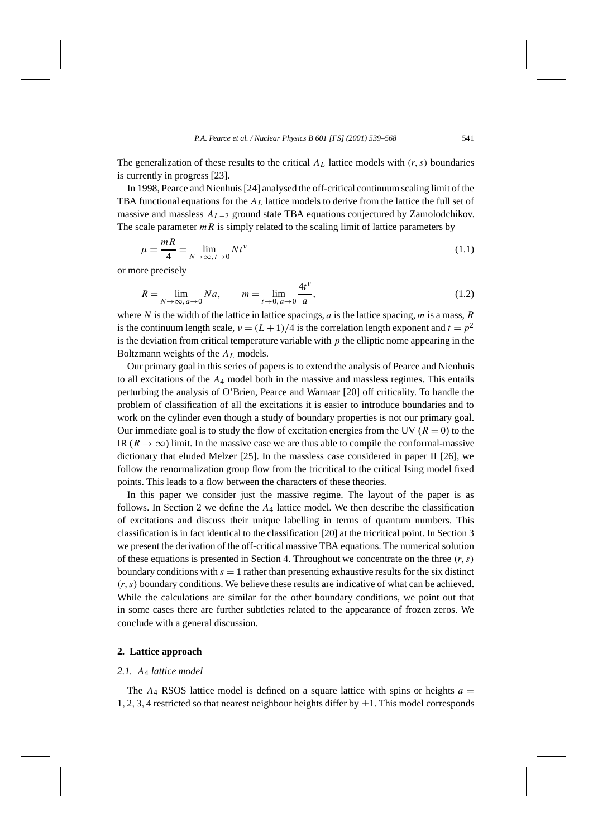The generalization of these results to the critical  $A_L$  lattice models with  $(r, s)$  boundaries is currently in progress [23].

In 1998, Pearce and Nienhuis [24] analysed the off-critical continuum scaling limit of the TBA functional equations for the *AL* lattice models to derive from the lattice the full set of massive and massless *AL*<sup>−</sup><sup>2</sup> ground state TBA equations conjectured by Zamolodchikov. The scale parameter  $mR$  is simply related to the scaling limit of lattice parameters by

$$
\mu = \frac{mR}{4} = \lim_{N \to \infty, t \to 0} N t^{\nu}
$$
\n(1.1)

or more precisely

$$
R = \lim_{N \to \infty, a \to 0} Na, \qquad m = \lim_{t \to 0, a \to 0} \frac{4t^{\nu}}{a}, \tag{1.2}
$$

where *N* is the width of the lattice in lattice spacings, *a* is the lattice spacing, *m* is a mass, *R* is the continuum length scale,  $v = (L + 1)/4$  is the correlation length exponent and  $t = p<sup>2</sup>$ is the deviation from critical temperature variable with  $p$  the elliptic nome appearing in the Boltzmann weights of the *A<sub>L</sub>* models.

Our primary goal in this series of papers is to extend the analysis of Pearce and Nienhuis to all excitations of the *A*<sup>4</sup> model both in the massive and massless regimes. This entails perturbing the analysis of O'Brien, Pearce and Warnaar [20] off criticality. To handle the problem of classification of all the excitations it is easier to introduce boundaries and to work on the cylinder even though a study of boundary properties is not our primary goal. Our immediate goal is to study the flow of excitation energies from the UV ( $R = 0$ ) to the IR  $(R \to \infty)$  limit. In the massive case we are thus able to compile the conformal-massive dictionary that eluded Melzer [25]. In the massless case considered in paper II [26], we follow the renormalization group flow from the tricritical to the critical Ising model fixed points. This leads to a flow between the characters of these theories.

In this paper we consider just the massive regime. The layout of the paper is as follows. In Section 2 we define the  $A_4$  lattice model. We then describe the classification of excitations and discuss their unique labelling in terms of quantum numbers. This classification is in fact identical to the classification [20] at the tricritical point. In Section 3 we present the derivation of the off-critical massive TBA equations. The numerical solution of these equations is presented in Section 4. Throughout we concentrate on the three *(r, s)* boundary conditions with  $s = 1$  rather than presenting exhaustive results for the six distinct *(r, s)* boundary conditions. We believe these results are indicative of what can be achieved. While the calculations are similar for the other boundary conditions, we point out that in some cases there are further subtleties related to the appearance of frozen zeros. We conclude with a general discussion.

# **2. Lattice approach**

## *2.1. A*<sup>4</sup> *lattice model*

The  $A_4$  RSOS lattice model is defined on a square lattice with spins or heights  $a =$ 1, 2, 3, 4 restricted so that nearest neighbour heights differ by  $\pm 1$ . This model corresponds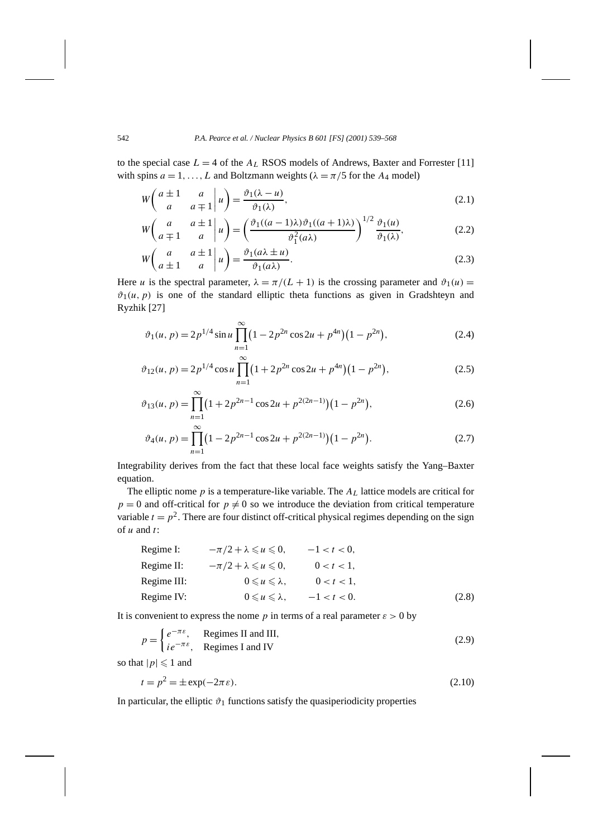to the special case  $L = 4$  of the  $A_L$  RSOS models of Andrews, Baxter and Forrester [11] with spins  $a = 1, \ldots, L$  and Boltzmann weights ( $\lambda = \pi/5$  for the  $A_4$  model)

$$
W\begin{pmatrix} a \pm 1 & a \\ a & a \mp 1 \end{pmatrix} u = \frac{\vartheta_1(\lambda - u)}{\vartheta_1(\lambda)},
$$
\n(2.1)

$$
W\begin{pmatrix} a & a \pm 1 \ a \mp 1 & a \end{pmatrix} u = \left(\frac{\vartheta_1((a-1)\lambda)\vartheta_1((a+1)\lambda)}{\vartheta_1^2(a\lambda)}\right)^{1/2} \frac{\vartheta_1(u)}{\vartheta_1(\lambda)},
$$
(2.2)

$$
W\begin{pmatrix} a & a \pm 1 \ a \pm 1 & a \end{pmatrix} u = \frac{\vartheta_1(a\lambda \pm u)}{\vartheta_1(a\lambda)}.
$$
 (2.3)

Here *u* is the spectral parameter,  $\lambda = \pi/(L + 1)$  is the crossing parameter and  $\vartheta_1(u) =$  $\vartheta_1(u, p)$  is one of the standard elliptic theta functions as given in Gradshteyn and Ryzhik [27]

$$
\vartheta_1(u, p) = 2p^{1/4} \sin u \prod_{n=1}^{\infty} (1 - 2p^{2n} \cos 2u + p^{4n})(1 - p^{2n}), \tag{2.4}
$$

$$
\vartheta_{12}(u, p) = 2p^{1/4}\cos u \prod_{n=1}^{\infty} (1 + 2p^{2n}\cos 2u + p^{4n})(1 - p^{2n}),\tag{2.5}
$$

$$
\vartheta_{13}(u, p) = \prod_{n=1}^{\infty} \left(1 + 2p^{2n-1}\cos 2u + p^{2(2n-1)}\right)\left(1 - p^{2n}\right),\tag{2.6}
$$

$$
\vartheta_4(u, p) = \prod_{n=1}^{\infty} \left(1 - 2p^{2n-1}\cos 2u + p^{2(2n-1)}\right)\left(1 - p^{2n}\right). \tag{2.7}
$$

Integrability derives from the fact that these local face weights satisfy the Yang–Baxter equation.

The elliptic nome *p* is a temperature-like variable. The *AL* lattice models are critical for  $p = 0$  and off-critical for  $p \neq 0$  so we introduce the deviation from critical temperature variable  $t = p^2$ . There are four distinct off-critical physical regimes depending on the sign of *u* and *t*:

| Regime I:   | $-\pi/2 + \lambda \leq u \leq 0$ , | $-1 < t < 0$ , |
|-------------|------------------------------------|----------------|
| Regime II:  | $-\pi/2 + \lambda \leq u \leq 0$ , | $0 < t < 1$ ,  |
| Regime III: | $0 \leq u \leq \lambda$ ,          | $0 < t < 1$ ,  |
| Regime IV:  | $0 \leq u \leq \lambda$ ,          | $-1 < t < 0$ . |

It is convenient to express the nome *p* in terms of a real parameter  $\varepsilon > 0$  by

$$
p = \begin{cases} e^{-\pi \varepsilon}, & \text{Regimes II and III,} \\ ie^{-\pi \varepsilon}, & \text{Regimes I and IV} \end{cases}
$$
 (2.9)

so that  $|p| \leq 1$  and

 $\mathbf{I}$ 

$$
t = p^2 = \pm \exp(-2\pi\varepsilon). \tag{2.10}
$$

In particular, the elliptic  $\vartheta_1$  functions satisfy the quasiperiodicity properties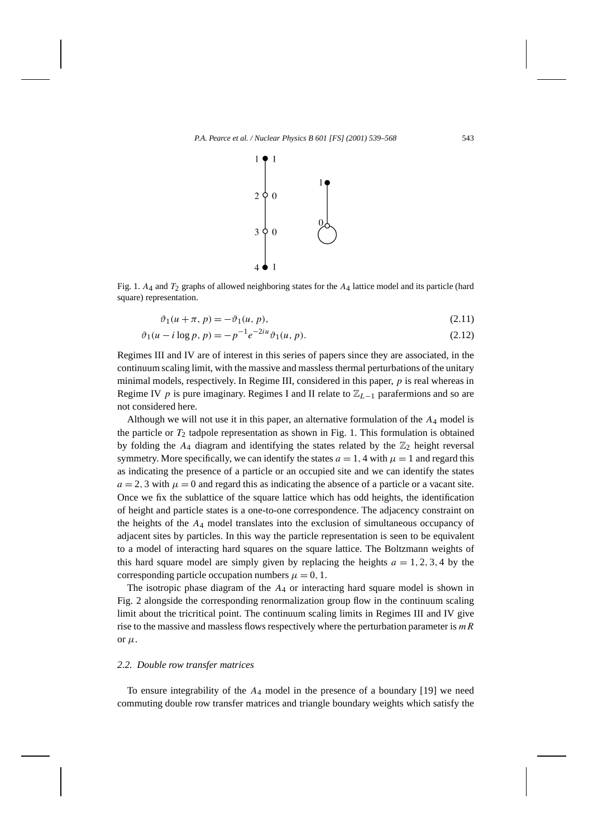

Fig. 1. *A*4 and *T*2 graphs of allowed neighboring states for the *A*4 lattice model and its particle (hard square) representation.

$$
\vartheta_1(u+\pi, p) = -\vartheta_1(u, p),\tag{2.11}
$$

$$
\vartheta_1(u - i \log p, p) = -p^{-1} e^{-2iu} \vartheta_1(u, p). \tag{2.12}
$$

Regimes III and IV are of interest in this series of papers since they are associated, in the continuum scaling limit, with the massive and massless thermal perturbations of the unitary minimal models, respectively. In Regime III, considered in this paper, *p* is real whereas in Regime IV *p* is pure imaginary. Regimes I and II relate to  $\mathbb{Z}_{L-1}$  parafermions and so are not considered here.

Although we will not use it in this paper, an alternative formulation of the *A*<sup>4</sup> model is the particle or  $T_2$  tadpole representation as shown in Fig. 1. This formulation is obtained by folding the  $A_4$  diagram and identifying the states related by the  $\mathbb{Z}_2$  height reversal symmetry. More specifically, we can identify the states  $a = 1$ , 4 with  $\mu = 1$  and regard this as indicating the presence of a particle or an occupied site and we can identify the states  $a = 2, 3$  with  $\mu = 0$  and regard this as indicating the absence of a particle or a vacant site. Once we fix the sublattice of the square lattice which has odd heights, the identification of height and particle states is a one-to-one correspondence. The adjacency constraint on the heights of the *A*<sup>4</sup> model translates into the exclusion of simultaneous occupancy of adjacent sites by particles. In this way the particle representation is seen to be equivalent to a model of interacting hard squares on the square lattice. The Boltzmann weights of this hard square model are simply given by replacing the heights  $a = 1, 2, 3, 4$  by the corresponding particle occupation numbers  $\mu = 0, 1$ .

The isotropic phase diagram of the *A*<sup>4</sup> or interacting hard square model is shown in Fig. 2 alongside the corresponding renormalization group flow in the continuum scaling limit about the tricritical point. The continuum scaling limits in Regimes III and IV give rise to the massive and massless flows respectively where the perturbation parameter is *mR* or  $\mu$ .

# *2.2. Double row transfer matrices*

To ensure integrability of the *A*<sup>4</sup> model in the presence of a boundary [19] we need commuting double row transfer matrices and triangle boundary weights which satisfy the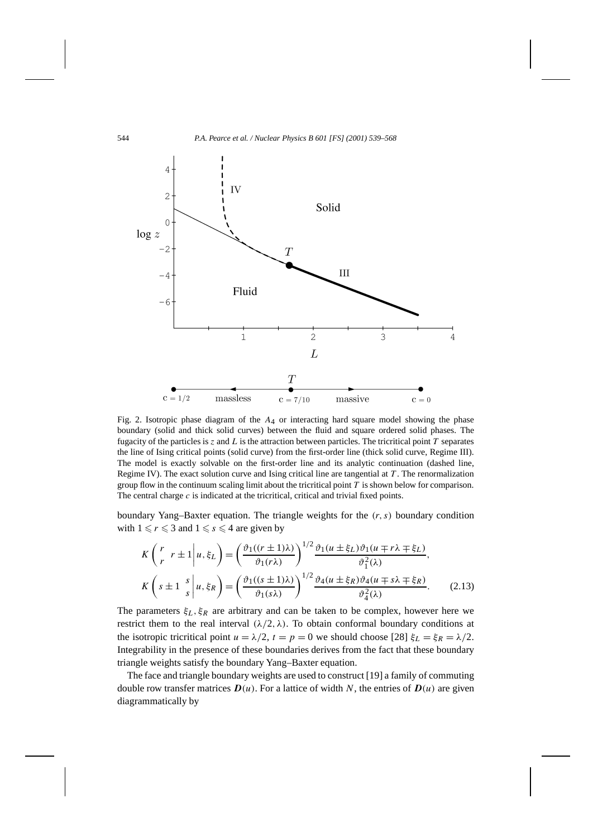

Fig. 2. Isotropic phase diagram of the *A*4 or interacting hard square model showing the phase boundary (solid and thick solid curves) between the fluid and square ordered solid phases. The fugacity of the particles is  $z$  and  $L$  is the attraction between particles. The tricritical point  $T$  separates the line of Ising critical points (solid curve) from the first-order line (thick solid curve, Regime III). The model is exactly solvable on the first-order line and its analytic continuation (dashed line, Regime IV). The exact solution curve and Ising critical line are tangential at *T* . The renormalization group flow in the continuum scaling limit about the tricritical point *T* is shown below for comparison. The central charge *c* is indicated at the tricritical, critical and trivial fixed points.

boundary Yang–Baxter equation. The triangle weights for the *(r, s)* boundary condition with  $1 \le r \le 3$  and  $1 \le s \le 4$  are given by

$$
K\begin{pmatrix} r & r \pm 1 \ r & r \pm 1 \end{pmatrix} u, \xi_L \end{pmatrix} = \left(\frac{\vartheta_1((r \pm 1)\lambda)}{\vartheta_1(r\lambda)}\right)^{1/2} \frac{\vartheta_1(u \pm \xi_L)\vartheta_1(u \mp r\lambda \mp \xi_L)}{\vartheta_1^2(\lambda)},
$$
  

$$
K\begin{pmatrix} s \pm 1 & s \ s & s \end{pmatrix} u, \xi_R \end{pmatrix} = \left(\frac{\vartheta_1((s \pm 1)\lambda)}{\vartheta_1(s\lambda)}\right)^{1/2} \frac{\vartheta_4(u \pm \xi_R)\vartheta_4(u \mp s\lambda \mp \xi_R)}{\vartheta_4^2(\lambda)}.
$$
 (2.13)

The parameters  $\xi_L$ ,  $\xi_R$  are arbitrary and can be taken to be complex, however here we restrict them to the real interval  $(\lambda/2, \lambda)$ . To obtain conformal boundary conditions at the isotropic tricritical point  $u = \lambda/2$ ,  $t = p = 0$  we should choose [28]  $\xi_L = \xi_R = \lambda/2$ . Integrability in the presence of these boundaries derives from the fact that these boundary triangle weights satisfy the boundary Yang–Baxter equation.

The face and triangle boundary weights are used to construct [19] a family of commuting double row transfer matrices  $D(u)$ . For a lattice of width N, the entries of  $D(u)$  are given diagrammatically by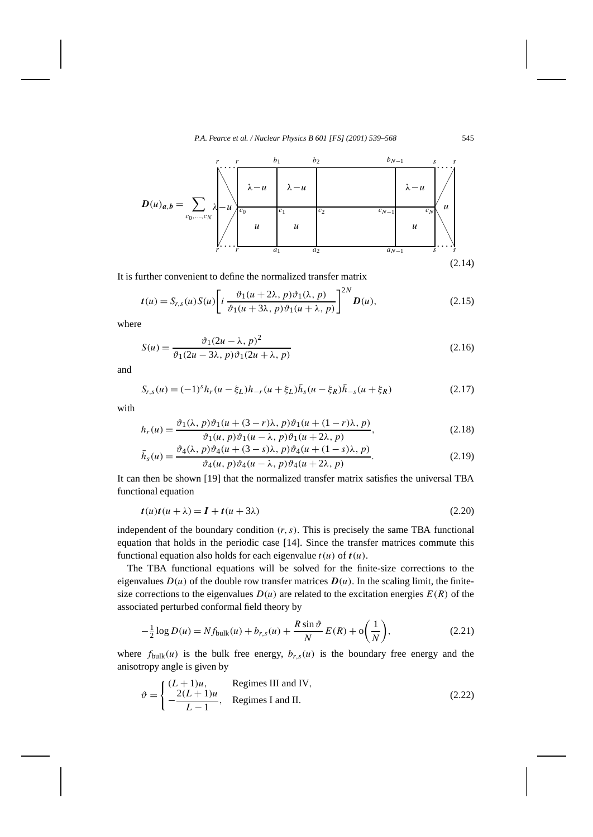

It is further convenient to define the normalized transfer matrix

$$
t(u) = S_{r,s}(u)S(u)\left[i\frac{\vartheta_1(u+2\lambda, p)\vartheta_1(\lambda, p)}{\vartheta_1(u+3\lambda, p)\vartheta_1(u+\lambda, p)}\right]^{2N}D(u),\tag{2.15}
$$

where

$$
S(u) = \frac{\vartheta_1 (2u - \lambda, p)^2}{\vartheta_1 (2u - 3\lambda, p)\vartheta_1 (2u + \lambda, p)}
$$
(2.16)

and

$$
S_{r,s}(u) = (-1)^s h_r(u - \xi_L) h_{-r}(u + \xi_L) \bar{h}_s(u - \xi_R) \bar{h}_{-s}(u + \xi_R)
$$
\n(2.17)

with

$$
h_r(u) = \frac{\vartheta_1(\lambda, p)\vartheta_1(u + (3 - r)\lambda, p)\vartheta_1(u + (1 - r)\lambda, p)}{\vartheta_1(u, p)\vartheta_1(u - \lambda, p)\vartheta_1(u + 2\lambda, p)},
$$
\n(2.18)

$$
\bar{h}_s(u) = \frac{\vartheta_4(\lambda, p)\vartheta_4(u + (3 - s)\lambda, p)\vartheta_4(u + (1 - s)\lambda, p)}{\vartheta_4(u, p)\vartheta_4(u - \lambda, p)\vartheta_4(u + 2\lambda, p)}.
$$
\n(2.19)

It can then be shown [19] that the normalized transfer matrix satisfies the universal TBA functional equation

$$
t(u)t(u + \lambda) = I + t(u + 3\lambda)
$$
\n(2.20)

independent of the boundary condition  $(r, s)$ . This is precisely the same TBA functional equation that holds in the periodic case [14]. Since the transfer matrices commute this functional equation also holds for each eigenvalue *t (u)* of *t(u)*.

The TBA functional equations will be solved for the finite-size corrections to the eigenvalues  $D(u)$  of the double row transfer matrices  $D(u)$ . In the scaling limit, the finitesize corrections to the eigenvalues  $D(u)$  are related to the excitation energies  $E(R)$  of the associated perturbed conformal field theory by

$$
-\frac{1}{2}\log D(u) = Nf_{\text{bulk}}(u) + b_{r,s}(u) + \frac{R\sin\vartheta}{N}E(R) + o\left(\frac{1}{N}\right),\tag{2.21}
$$

where  $f_{bulk}(u)$  is the bulk free energy,  $b_{r,s}(u)$  is the boundary free energy and the anisotropy angle is given by

$$
\vartheta = \begin{cases}\n(L+1)u, & \text{Regimes III and IV,} \\
-\frac{2(L+1)u}{L-1}, & \text{Regimes I and II.} \n\end{cases}
$$
\n(2.22)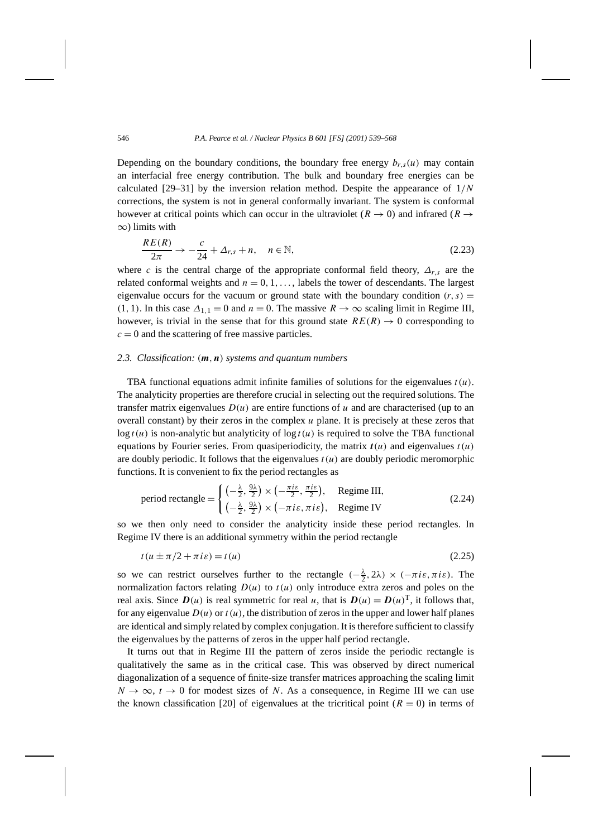Depending on the boundary conditions, the boundary free energy  $b_{r,s}(u)$  may contain an interfacial free energy contribution. The bulk and boundary free energies can be calculated [29–31] by the inversion relation method. Despite the appearance of 1*/N* corrections, the system is not in general conformally invariant. The system is conformal however at critical points which can occur in the ultraviolet ( $R \rightarrow 0$ ) and infrared ( $R \rightarrow$ ∞) limits with

$$
\frac{RE(R)}{2\pi} \to -\frac{c}{24} + \Delta_{r,s} + n, \quad n \in \mathbb{N},
$$
\n(2.23)

where *c* is the central charge of the appropriate conformal field theory,  $\Delta_{r,s}$  are the related conformal weights and  $n = 0, 1, \ldots$ , labels the tower of descendants. The largest eigenvalue occurs for the vacuum or ground state with the boundary condition  $(r, s)$  = *(*1*,* 1*)*. In this case  $\Delta$ <sub>1*,*1</sub> = 0 and *n* = 0. The massive *R* → ∞ scaling limit in Regime III, however, is trivial in the sense that for this ground state  $RE(R) \rightarrow 0$  corresponding to  $c = 0$  and the scattering of free massive particles.

#### *2.3. Classification: (m,n) systems and quantum numbers*

TBA functional equations admit infinite families of solutions for the eigenvalues  $t(u)$ . The analyticity properties are therefore crucial in selecting out the required solutions. The transfer matrix eigenvalues  $D(u)$  are entire functions of  $u$  and are characterised (up to an overall constant) by their zeros in the complex *u* plane. It is precisely at these zeros that  $\log t(u)$  is non-analytic but analyticity of  $\log t(u)$  is required to solve the TBA functional equations by Fourier series. From quasiperiodicity, the matrix  $t(u)$  and eigenvalues  $t(u)$ are doubly periodic. It follows that the eigenvalues  $t(u)$  are doubly periodic meromorphic functions. It is convenient to fix the period rectangles as

period rectangle = 
$$
\begin{cases} \left(-\frac{\lambda}{2}, \frac{9\lambda}{2}\right) \times \left(-\frac{\pi i \varepsilon}{2}, \frac{\pi i \varepsilon}{2}\right), & \text{Regime III,} \\ \left(-\frac{\lambda}{2}, \frac{9\lambda}{2}\right) \times \left(-\pi i \varepsilon, \pi i \varepsilon\right), & \text{Regime IV} \end{cases}
$$
 (2.24)

so we then only need to consider the analyticity inside these period rectangles. In Regime IV there is an additional symmetry within the period rectangle

$$
t(u \pm \pi/2 + \pi i \varepsilon) = t(u) \tag{2.25}
$$

so we can restrict ourselves further to the rectangle  $(-\frac{\lambda}{2}, 2\lambda) \times (-\pi i \varepsilon, \pi i \varepsilon)$ . The normalization factors relating  $D(u)$  to  $t(u)$  only introduce extra zeros and poles on the real axis. Since  $D(u)$  is real symmetric for real *u*, that is  $D(u) = D(u)^T$ , it follows that, for any eigenvalue  $D(u)$  or  $t(u)$ , the distribution of zeros in the upper and lower half planes are identical and simply related by complex conjugation. It is therefore sufficient to classify the eigenvalues by the patterns of zeros in the upper half period rectangle.

It turns out that in Regime III the pattern of zeros inside the periodic rectangle is qualitatively the same as in the critical case. This was observed by direct numerical diagonalization of a sequence of finite-size transfer matrices approaching the scaling limit  $N \to \infty$ ,  $t \to 0$  for modest sizes of *N*. As a consequence, in Regime III we can use the known classification [20] of eigenvalues at the tricritical point  $(R = 0)$  in terms of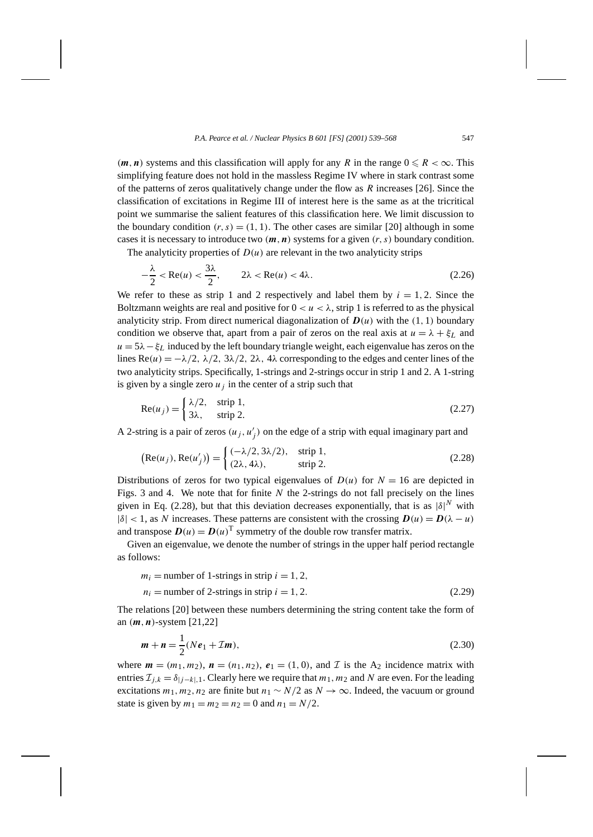$(m, n)$  systems and this classification will apply for any *R* in the range  $0 \le R < \infty$ . This simplifying feature does not hold in the massless Regime IV where in stark contrast some of the patterns of zeros qualitatively change under the flow as *R* increases [26]. Since the classification of excitations in Regime III of interest here is the same as at the tricritical point we summarise the salient features of this classification here. We limit discussion to the boundary condition  $(r, s) = (1, 1)$ . The other cases are similar [20] although in some cases it is necessary to introduce two  $(m, n)$  systems for a given  $(r, s)$  boundary condition.

The analyticity properties of  $D(u)$  are relevant in the two analyticity strips

$$
-\frac{\lambda}{2} < \text{Re}(u) < \frac{3\lambda}{2}, \qquad 2\lambda < \text{Re}(u) < 4\lambda. \tag{2.26}
$$

We refer to these as strip 1 and 2 respectively and label them by  $i = 1, 2$ . Since the Boltzmann weights are real and positive for  $0 < u < \lambda$ , strip 1 is referred to as the physical analyticity strip. From direct numerical diagonalization of  $D(u)$  with the  $(1, 1)$  boundary condition we observe that, apart from a pair of zeros on the real axis at  $u = \lambda + \xi_L$  and  $u = 5\lambda - \xi_L$  induced by the left boundary triangle weight, each eigenvalue has zeros on the lines  $\text{Re}(u) = -\lambda/2$ ,  $\lambda/2$ ,  $3\lambda/2$ ,  $2\lambda$ ,  $4\lambda$  corresponding to the edges and center lines of the two analyticity strips. Specifically, 1-strings and 2-strings occur in strip 1 and 2. A 1-string is given by a single zero  $u_i$  in the center of a strip such that

$$
Re(u_j) = \begin{cases} \lambda/2, & \text{strip 1,} \\ 3\lambda, & \text{strip 2.} \end{cases}
$$
 (2.27)

A 2-string is a pair of zeros  $(u_j, u'_j)$  on the edge of a strip with equal imaginary part and

$$
(\text{Re}(u_j), \text{Re}(u'_j)) = \begin{cases} (-\lambda/2, 3\lambda/2), & \text{strip } 1, \\ (2\lambda, 4\lambda), & \text{strip } 2. \end{cases}
$$
 (2.28)

Distributions of zeros for two typical eigenvalues of  $D(u)$  for  $N = 16$  are depicted in Figs. 3 and 4. We note that for finite *N* the 2-strings do not fall precisely on the lines given in Eq. (2.28), but that this deviation decreases exponentially, that is as  $|\delta|^N$  with  $|\delta|$  < 1, as *N* increases. These patterns are consistent with the crossing  $D(u) = D(\lambda - u)$ and transpose  $D(u) = D(u)^T$  symmetry of the double row transfer matrix.

Given an eigenvalue, we denote the number of strings in the upper half period rectangle as follows:

$$
m_i = \text{number of 1-strings in strip } i = 1, 2,
$$
  
\n
$$
n_i = \text{number of 2-strings in strip } i = 1, 2.
$$
\n(2.29)

The relations [20] between these numbers determining the string content take the form of an *(m,n)*-system [21,22]

$$
m + n = \frac{1}{2}(Ne_1 + \mathcal{I}m),
$$
\n(2.30)

where  $m = (m_1, m_2)$ ,  $n = (n_1, n_2)$ ,  $e_1 = (1, 0)$ , and  $\mathcal I$  is the A<sub>2</sub> incidence matrix with entries  $\mathcal{I}_{i,k} = \delta_{|i-k|,1}$ . Clearly here we require that  $m_1, m_2$  and N are even. For the leading excitations  $m_1, m_2, n_2$  are finite but  $n_1 \sim N/2$  as  $N \to \infty$ . Indeed, the vacuum or ground state is given by  $m_1 = m_2 = n_2 = 0$  and  $n_1 = N/2$ .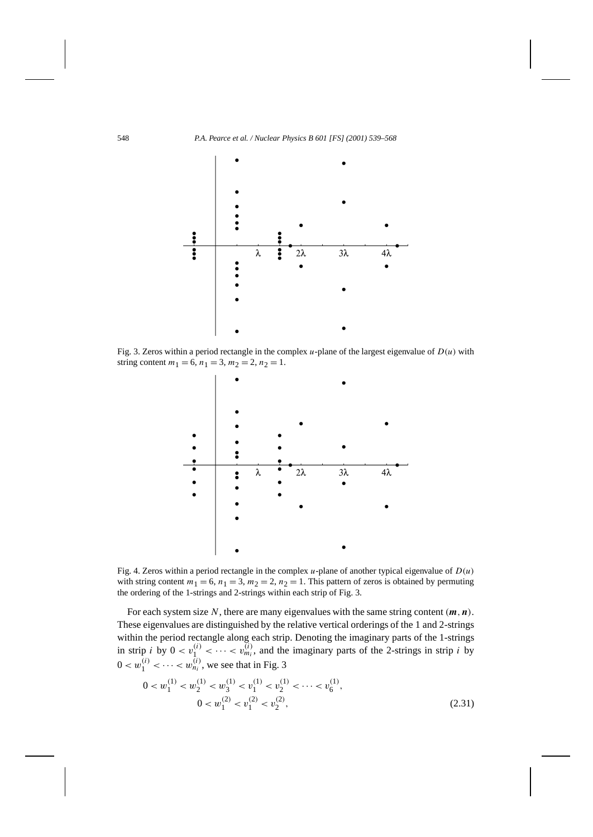

Fig. 3. Zeros within a period rectangle in the complex  $u$ -plane of the largest eigenvalue of  $D(u)$  with string content  $m_1 = 6$ ,  $n_1 = 3$ ,  $m_2 = 2$ ,  $n_2 = 1$ .



Fig. 4. Zeros within a period rectangle in the complex *u*-plane of another typical eigenvalue of *D(u)* with string content  $m_1 = 6$ ,  $n_1 = 3$ ,  $m_2 = 2$ ,  $n_2 = 1$ . This pattern of zeros is obtained by permuting the ordering of the 1-strings and 2-strings within each strip of Fig. 3.

For each system size N, there are many eigenvalues with the same string content  $(m, n)$ . These eigenvalues are distinguished by the relative vertical orderings of the 1 and 2-strings within the period rectangle along each strip. Denoting the imaginary parts of the 1-strings in strip *i* by  $0 < v_1^{(i)} < \cdots < v_{m_i}^{(i)}$ , and the imaginary parts of the 2-strings in strip *i* by  $0 < w_1^{(i)} < \cdots < w_{n_i}^{(i)}$ , we see that in Fig. 3

$$
0 < w_1^{(1)} < w_2^{(1)} < w_3^{(1)} < v_1^{(1)} < v_2^{(1)} < \dots < v_6^{(1)},
$$
\n
$$
0 < w_1^{(2)} < v_1^{(2)} < v_2^{(2)},
$$
\n
$$
(2.31)
$$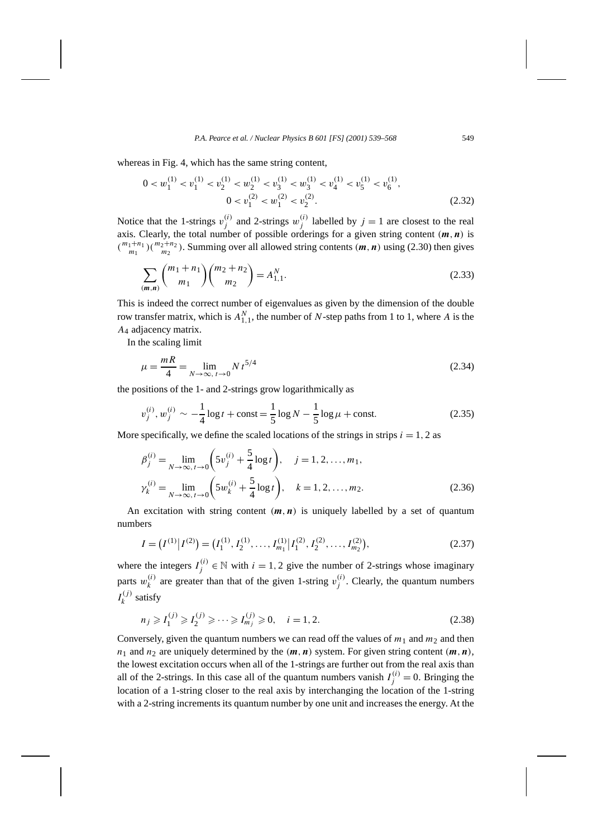whereas in Fig. 4, which has the same string content,

$$
0 < w_1^{(1)} < v_1^{(1)} < v_2^{(1)} < w_2^{(1)} < v_3^{(1)} < w_3^{(1)} < v_4^{(1)} < v_5^{(1)} < v_6^{(1)},
$$
\n
$$
0 < v_1^{(2)} < w_1^{(2)} < v_2^{(2)}.\tag{2.32}
$$

Notice that the 1-strings  $v_j^{(i)}$  and 2-strings  $w_j^{(i)}$  labelled by  $j = 1$  are closest to the real axis. Clearly, the total number of possible orderings for a given string content  $(m, n)$  is  $\binom{m_1+n_1}{m_1}$   $\binom{m_2+n_2}{m_2}$ . Summing over all allowed string contents  $(m, n)$  using (2.30) then gives

$$
\sum_{(m,n)} \binom{m_1+n_1}{m_1} \binom{m_2+n_2}{m_2} = A_{1,1}^N.
$$
\n(2.33)

This is indeed the correct number of eigenvalues as given by the dimension of the double row transfer matrix, which is  $A_{1,1}^N$ , the number of *N*-step paths from 1 to 1, where *A* is the *A*<sup>4</sup> adjacency matrix.

In the scaling limit

$$
\mu = \frac{mR}{4} = \lim_{N \to \infty, t \to 0} N t^{5/4}
$$
\n(2.34)

the positions of the 1- and 2-strings grow logarithmically as

$$
v_j^{(i)}, w_j^{(i)} \sim -\frac{1}{4}\log t + \text{const} = \frac{1}{5}\log N - \frac{1}{5}\log \mu + \text{const.}
$$
 (2.35)

More specifically, we define the scaled locations of the strings in strips  $i = 1, 2$  as

$$
\beta_j^{(i)} = \lim_{N \to \infty, t \to 0} \left( 5v_j^{(i)} + \frac{5}{4} \log t \right), \quad j = 1, 2, ..., m_1,
$$
  

$$
\gamma_k^{(i)} = \lim_{N \to \infty, t \to 0} \left( 5w_k^{(i)} + \frac{5}{4} \log t \right), \quad k = 1, 2, ..., m_2.
$$
 (2.36)

An excitation with string content  $(m, n)$  is uniquely labelled by a set of quantum numbers

$$
I = (I^{(1)} | I^{(2)}) = (I_1^{(1)}, I_2^{(1)}, \dots, I_{m_1}^{(1)} | I_1^{(2)}, I_2^{(2)}, \dots, I_{m_2}^{(2)}),
$$
\n(2.37)

where the integers  $I_j^{(i)} \in \mathbb{N}$  with  $i = 1, 2$  give the number of 2-strings whose imaginary parts  $w_k^{(i)}$  are greater than that of the given 1-string  $v_j^{(i)}$ . Clearly, the quantum numbers  $I_k^{(j)}$  satisfy

$$
n_j \geqslant I_1^{(j)} \geqslant I_2^{(j)} \geqslant \dots \geqslant I_{m_j}^{(j)} \geqslant 0, \quad i = 1, 2. \tag{2.38}
$$

Conversely, given the quantum numbers we can read off the values of  $m_1$  and  $m_2$  and then  $n_1$  and  $n_2$  are uniquely determined by the  $(m, n)$  system. For given string content  $(m, n)$ , the lowest excitation occurs when all of the 1-strings are further out from the real axis than all of the 2-strings. In this case all of the quantum numbers vanish  $I_j^{(i)} = 0$ . Bringing the location of a 1-string closer to the real axis by interchanging the location of the 1-string with a 2-string increments its quantum number by one unit and increases the energy. At the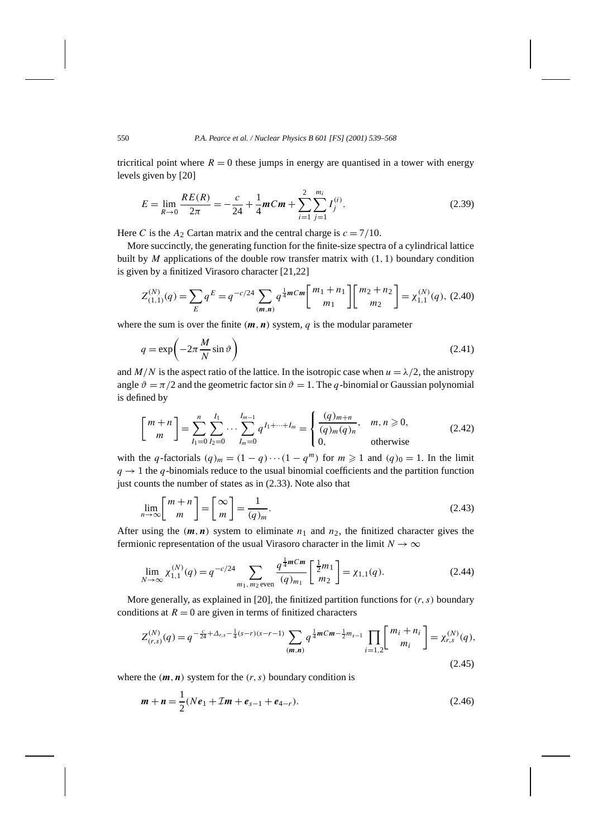tricritical point where  $R = 0$  these jumps in energy are quantised in a tower with energy levels given by [20]

$$
E = \lim_{R \to 0} \frac{RE(R)}{2\pi} = -\frac{c}{24} + \frac{1}{4}mCm + \sum_{i=1}^{2} \sum_{j=1}^{m_i} I_j^{(i)}.
$$
 (2.39)

Here *C* is the  $A_2$  Cartan matrix and the central charge is  $c = 7/10$ .

More succinctly, the generating function for the finite-size spectra of a cylindrical lattice built by *M* applications of the double row transfer matrix with *(*1*,* 1*)* boundary condition is given by a finitized Virasoro character [21,22]

$$
Z_{(1,1)}^{(N)}(q) = \sum_{E} q^{E} = q^{-c/24} \sum_{(m,n)} q^{\frac{1}{4}mCm} \begin{bmatrix} m_1 + n_1 \ m_1 \end{bmatrix} \begin{bmatrix} m_2 + n_2 \ m_2 \end{bmatrix} = \chi_{1,1}^{(N)}(q), (2.40)
$$

where the sum is over the finite  $(m, n)$  system,  $q$  is the modular parameter

$$
q = \exp\left(-2\pi \frac{M}{N}\sin\vartheta\right) \tag{2.41}
$$

and  $M/N$  is the aspect ratio of the lattice. In the isotropic case when  $u = \lambda/2$ , the anistropy angle  $\vartheta = \pi/2$  and the geometric factor sin  $\vartheta = 1$ . The *q*-binomial or Gaussian polynomial is defined by

$$
\begin{bmatrix} m+n \\ m \end{bmatrix} = \sum_{I_1=0}^{n} \sum_{I_2=0}^{I_1} \cdots \sum_{I_m=0}^{I_{m-1}} q^{I_1 + \cdots + I_m} = \begin{cases} \frac{(q)_{m+n}}{(q)_m (q)_n}, & m, n \geq 0, \\ 0, & \text{otherwise} \end{cases}
$$
(2.42)

with the *q*-factorials  $(q)_m = (1 - q) \cdots (1 - q^m)$  for  $m \ge 1$  and  $(q)_0 = 1$ . In the limit  $q \rightarrow 1$  the *q*-binomials reduce to the usual binomial coefficients and the partition function just counts the number of states as in (2.33). Note also that

$$
\lim_{n \to \infty} \left[ \frac{m+n}{m} \right] = \left[ \frac{\infty}{m} \right] = \frac{1}{(q)_m}.
$$
\n(2.43)

After using the  $(m, n)$  system to eliminate  $n_1$  and  $n_2$ , the finitized character gives the fermionic representation of the usual Virasoro character in the limit  $N \to \infty$ 

$$
\lim_{N \to \infty} \chi_{1,1}^{(N)}(q) = q^{-c/24} \sum_{m_1, m_2 \text{ even}} \frac{q^{\frac{1}{4}mCm}}{(q)_{m_1}} \left[ \frac{\frac{1}{2}m_1}{m_2} \right] = \chi_{1,1}(q). \tag{2.44}
$$

More generally, as explained in [20], the finitized partition functions for *(r, s)* boundary conditions at  $R = 0$  are given in terms of finitized characters

$$
Z_{(r,s)}^{(N)}(q) = q^{-\frac{c}{24} + \Delta_{r,s} - \frac{1}{4}(s-r)(s-r-1)} \sum_{(m,n)} q^{\frac{1}{4}mCm - \frac{1}{2}m_{s-1}} \prod_{i=1,2} \begin{bmatrix} m_i + n_i \ m_i \end{bmatrix} = \chi_{r,s}^{(N)}(q),
$$
\n(2.45)

where the  $(m, n)$  system for the  $(r, s)$  boundary condition is

$$
\mathbf{m} + \mathbf{n} = \frac{1}{2}(N\mathbf{e}_1 + \mathcal{I}\mathbf{m} + \mathbf{e}_{s-1} + \mathbf{e}_{4-r}).
$$
\n(2.46)

 $\mathbf{I}$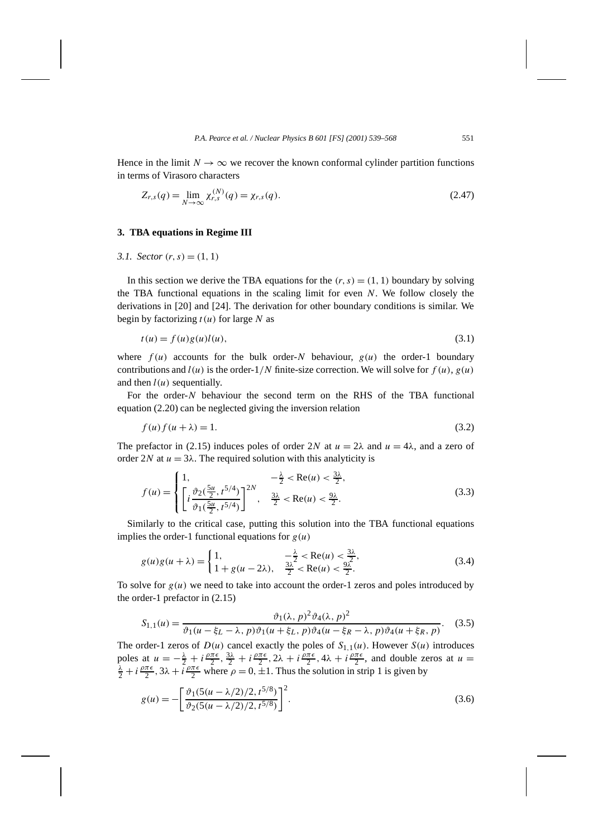Hence in the limit  $N \to \infty$  we recover the known conformal cylinder partition functions in terms of Virasoro characters

$$
Z_{r,s}(q) = \lim_{N \to \infty} \chi_{r,s}^{(N)}(q) = \chi_{r,s}(q). \tag{2.47}
$$

# **3. TBA equations in Regime III**

*3.1. Sector*  $(r, s) = (1, 1)$ 

In this section we derive the TBA equations for the  $(r, s) = (1, 1)$  boundary by solving the TBA functional equations in the scaling limit for even *N*. We follow closely the derivations in [20] and [24]. The derivation for other boundary conditions is similar. We begin by factorizing *t (u)* for large *N* as

$$
t(u) = f(u)g(u)l(u),
$$
\n
$$
(3.1)
$$

where  $f(u)$  accounts for the bulk order-*N* behaviour,  $g(u)$  the order-1 boundary contributions and  $l(u)$  is the order- $1/N$  finite-size correction. We will solve for  $f(u)$ ,  $g(u)$ and then  $l(u)$  sequentially.

For the order-*N* behaviour the second term on the RHS of the TBA functional equation (2.20) can be neglected giving the inversion relation

$$
f(u) f(u + \lambda) = 1. \tag{3.2}
$$

The prefactor in (2.15) induces poles of order 2*N* at  $u = 2\lambda$  and  $u = 4\lambda$ , and a zero of order 2*N* at  $u = 3\lambda$ . The required solution with this analyticity is

$$
f(u) = \begin{cases} 1, & -\frac{\lambda}{2} < \text{Re}(u) < \frac{3\lambda}{2}, \\ \left[ i \frac{\vartheta_2(\frac{5u}{2}, t^{5/4})}{\vartheta_1(\frac{5u}{2}, t^{5/4})} \right]^{2N}, & \frac{3\lambda}{2} < \text{Re}(u) < \frac{9\lambda}{2}. \end{cases}
$$
(3.3)

Similarly to the critical case, putting this solution into the TBA functional equations implies the order-1 functional equations for  $g(u)$ 

$$
g(u)g(u+\lambda) = \begin{cases} 1, & -\frac{\lambda}{2} < \text{Re}(u) < \frac{3\lambda}{2}, \\ 1 + g(u-2\lambda), & \frac{3\lambda}{2} < \text{Re}(u) < \frac{9\lambda}{2}. \end{cases}
$$
(3.4)

To solve for  $g(u)$  we need to take into account the order-1 zeros and poles introduced by the order-1 prefactor in (2.15)

$$
S_{1,1}(u) = \frac{\vartheta_1(\lambda, p)^2 \vartheta_4(\lambda, p)^2}{\vartheta_1(u - \xi_L - \lambda, p)\vartheta_1(u + \xi_L, p)\vartheta_4(u - \xi_R - \lambda, p)\vartheta_4(u + \xi_R, p)}.
$$
 (3.5)

The order-1 zeros of  $D(u)$  cancel exactly the poles of  $S_{1,1}(u)$ . However  $S(u)$  introduces poles at  $u = -\frac{\lambda}{2} + i \frac{\rho \pi \epsilon}{2}$ ,  $\frac{3\lambda}{2} + i \frac{\rho \pi \epsilon}{2}$ ,  $2\lambda + i \frac{\rho \pi \epsilon}{2}$ ,  $4\lambda + i \frac{\rho \pi \epsilon}{2}$ , and double zeros at  $u = \frac{\lambda}{2} + i \frac{\rho \pi \epsilon}{2}$ ,  $3\lambda + i \frac{\rho \pi \epsilon}{2}$ , where  $\rho = 0$ ,  $+1$ . Thus the solution in strip 1 is  $\frac{\lambda}{2} + i \frac{\rho \pi \epsilon}{2}$ ,  $3\lambda + i \frac{\rho \pi \epsilon}{2}$  where  $\rho = 0, \pm 1$ . Thus the solution in strip 1 is given by

$$
g(u) = -\left[\frac{\vartheta_1(5(u - \lambda/2)/2, t^{5/8})}{\vartheta_2(5(u - \lambda/2)/2, t^{5/8})}\right]^2.
$$
\n(3.6)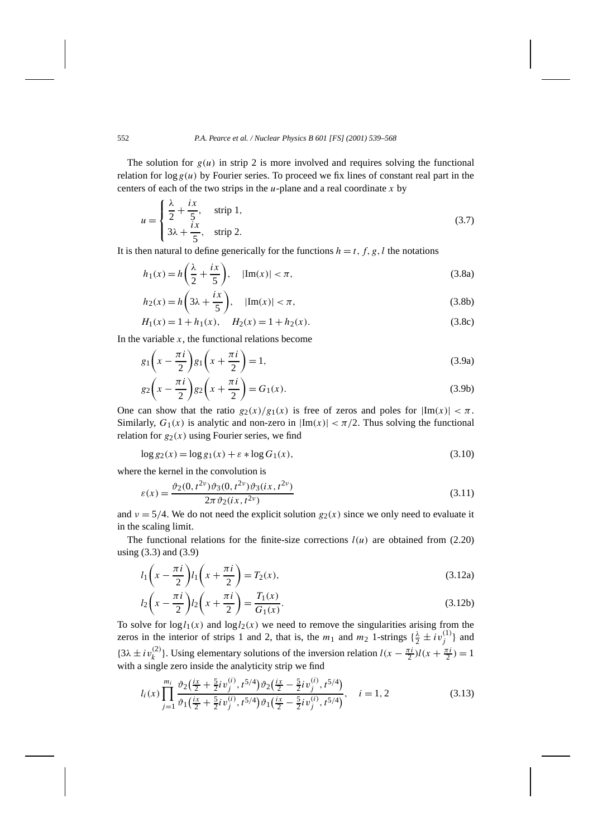The solution for  $g(u)$  in strip 2 is more involved and requires solving the functional relation for  $\log g(u)$  by Fourier series. To proceed we fix lines of constant real part in the centers of each of the two strips in the *u*-plane and a real coordinate *x* by

$$
u = \begin{cases} \frac{\lambda}{2} + \frac{ix}{5}, & \text{strip 1,} \\ 3\lambda + \frac{ix}{5}, & \text{strip 2.} \end{cases}
$$
 (3.7)

It is then natural to define generically for the functions  $h = t, f, g, l$  the notations

$$
h_1(x) = h\left(\frac{\lambda}{2} + \frac{ix}{5}\right), \quad |\text{Im}(x)| < \pi,\tag{3.8a}
$$

$$
h_2(x) = h\left(3\lambda + \frac{ix}{5}\right), \quad |\text{Im}(x)| < \pi,\tag{3.8b}
$$

$$
H_1(x) = 1 + h_1(x), \quad H_2(x) = 1 + h_2(x). \tag{3.8c}
$$

In the variable  $x$ , the functional relations become

$$
g_1\left(x - \frac{\pi i}{2}\right)g_1\left(x + \frac{\pi i}{2}\right) = 1,\tag{3.9a}
$$

$$
g_2\left(x - \frac{\pi i}{2}\right)g_2\left(x + \frac{\pi i}{2}\right) = G_1(x). \tag{3.9b}
$$

One can show that the ratio  $g_2(x)/g_1(x)$  is free of zeros and poles for  $|\text{Im}(x)| < \pi$ . Similarly,  $G_1(x)$  is analytic and non-zero in  $|Im(x)| < \pi/2$ . Thus solving the functional relation for  $g_2(x)$  using Fourier series, we find

$$
\log g_2(x) = \log g_1(x) + \varepsilon * \log G_1(x),\tag{3.10}
$$

where the kernel in the convolution is

$$
\varepsilon(x) = \frac{\vartheta_2(0, t^{2\nu})\vartheta_3(0, t^{2\nu})\vartheta_3(ix, t^{2\nu})}{2\pi\vartheta_2(ix, t^{2\nu})}
$$
\n(3.11)

and  $\nu = 5/4$ . We do not need the explicit solution  $g_2(x)$  since we only need to evaluate it in the scaling limit.

The functional relations for the finite-size corrections  $l(u)$  are obtained from (2.20) using (3.3) and (3.9)

$$
l_1\left(x - \frac{\pi i}{2}\right)l_1\left(x + \frac{\pi i}{2}\right) = T_2(x),\tag{3.12a}
$$

$$
l_2\left(x - \frac{\pi i}{2}\right)l_2\left(x + \frac{\pi i}{2}\right) = \frac{T_1(x)}{G_1(x)}.
$$
\n(3.12b)

To solve for  $log l_1(x)$  and  $log l_2(x)$  we need to remove the singularities arising from the zeros in the interior of strips 1 and 2, that is, the  $m_1$  and  $m_2$  1-strings  $\{\frac{\lambda}{2} \pm i v_j^{(1)}\}$  and  ${3\lambda \pm i\nu_k^{(2)}}$ . Using elementary solutions of the inversion relation  $l(x - \frac{\pi i}{2})l(x + \frac{\pi i}{2}) = 1$ with a single zero inside the analyticity strip we find

$$
l_i(x) \prod_{j=1}^{m_i} \frac{\vartheta_2(\frac{ix}{2} + \frac{5}{2}i v_j^{(i)}, t^{5/4}) \vartheta_2(\frac{ix}{2} - \frac{5}{2}i v_j^{(i)}, t^{5/4})}{\vartheta_1(\frac{ix}{2} + \frac{5}{2}i v_j^{(i)}, t^{5/4}) \vartheta_1(\frac{ix}{2} - \frac{5}{2}i v_j^{(i)}, t^{5/4})}, \quad i = 1, 2
$$
\n(3.13)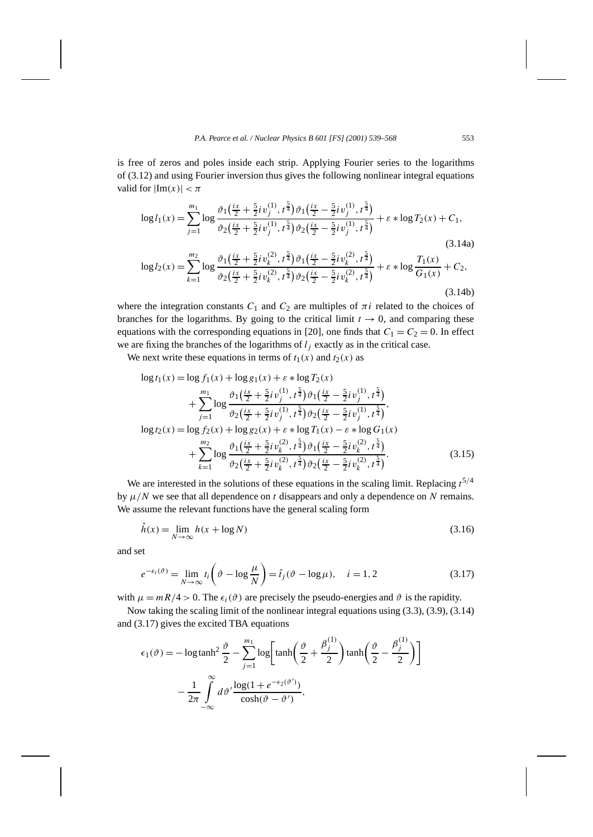is free of zeros and poles inside each strip. Applying Fourier series to the logarithms of (3.12) and using Fourier inversion thus gives the following nonlinear integral equations valid for  $|Im(x)| < \pi$ 

$$
\log l_1(x) = \sum_{j=1}^{m_1} \log \frac{\vartheta_1(\frac{ix}{2} + \frac{5}{2}i\nu_j^{(1)}, t^{\frac{5}{4}}) \vartheta_1(\frac{ix}{2} - \frac{5}{2}i\nu_j^{(1)}, t^{\frac{5}{4}})}{\vartheta_2(\frac{ix}{2} + \frac{5}{2}i\nu_j^{(1)}, t^{\frac{5}{4}}) \vartheta_2(\frac{ix}{2} - \frac{5}{2}i\nu_j^{(1)}, t^{\frac{5}{4}})} + \varepsilon * \log T_2(x) + C_1,
$$
\n(3.14a)

$$
\log l_2(x) = \sum_{k=1}^{m_2} \log \frac{\vartheta_1(\frac{ix}{2} + \frac{5}{2}i\nu_k^{(2)}, t^{\frac{5}{4}})\vartheta_1(\frac{ix}{2} - \frac{5}{2}i\nu_k^{(2)}, t^{\frac{5}{4}})}{\vartheta_2(\frac{ix}{2} + \frac{5}{2}i\nu_k^{(2)}, t^{\frac{5}{4}})\vartheta_2(\frac{ix}{2} - \frac{5}{2}i\nu_k^{(2)}, t^{\frac{5}{4}})} + \varepsilon * \log \frac{T_1(x)}{G_1(x)} + C_2,
$$
\n(3.14b)

where the integration constants  $C_1$  and  $C_2$  are multiples of  $\pi i$  related to the choices of branches for the logarithms. By going to the critical limit  $t \to 0$ , and comparing these equations with the corresponding equations in [20], one finds that  $C_1 = C_2 = 0$ . In effect we are fixing the branches of the logarithms of  $l_i$  exactly as in the critical case.

We next write these equations in terms of  $t_1(x)$  and  $t_2(x)$  as

$$
\log t_{1}(x) = \log f_{1}(x) + \log g_{1}(x) + \varepsilon * \log T_{2}(x)
$$
  
+ 
$$
\sum_{j=1}^{m_{1}} \log \frac{\vartheta_{1}(\frac{ix}{2} + \frac{5}{2}i\nu_{j}^{(1)}, t^{\frac{5}{4}})\vartheta_{1}(\frac{ix}{2} - \frac{5}{2}i\nu_{j}^{(1)}, t^{\frac{5}{4}})}{\vartheta_{2}(\frac{ix}{2} + \frac{5}{2}i\nu_{j}^{(1)}, t^{\frac{5}{4}})\vartheta_{2}(\frac{ix}{2} - \frac{5}{2}i\nu_{j}^{(1)}, t^{\frac{5}{4}})}
$$
  

$$
\log t_{2}(x) = \log f_{2}(x) + \log g_{2}(x) + \varepsilon * \log T_{1}(x) - \varepsilon * \log G_{1}(x)
$$
  
+ 
$$
\sum_{k=1}^{m_{2}} \log \frac{\vartheta_{1}(\frac{ix}{2} + \frac{5}{2}i\nu_{k}^{(2)}, t^{\frac{5}{4}})\vartheta_{1}(\frac{ix}{2} - \frac{5}{2}i\nu_{k}^{(2)}, t^{\frac{5}{4}})}{\vartheta_{2}(\frac{ix}{2} + \frac{5}{2}i\nu_{k}^{(2)}, t^{\frac{5}{4}})\vartheta_{2}(\frac{ix}{2} - \frac{5}{2}i\nu_{k}^{(2)}, t^{\frac{5}{4}})}.
$$
(3.15)

We are interested in the solutions of these equations in the scaling limit. Replacing  $t^{5/4}$ by  $\mu/N$  we see that all dependence on *t* disappears and only a dependence on *N* remains. We assume the relevant functions have the general scaling form

$$
\hat{h}(x) = \lim_{N \to \infty} h(x + \log N) \tag{3.16}
$$

and set

$$
e^{-\epsilon_i(\vartheta)} = \lim_{N \to \infty} t_i \left(\vartheta - \log \frac{\mu}{N}\right) = \hat{t}_j(\vartheta - \log \mu), \quad i = 1, 2
$$
 (3.17)

with  $\mu = mR/4 > 0$ . The  $\epsilon_i(\vartheta)$  are precisely the pseudo-energies and  $\vartheta$  is the rapidity.

Now taking the scaling limit of the nonlinear integral equations using (3.3), (3.9), (3.14) and (3.17) gives the excited TBA equations

$$
\epsilon_1(\vartheta) = -\log \tanh^2 \frac{\vartheta}{2} - \sum_{j=1}^{m_1} \log \left[ \tanh \left( \frac{\vartheta}{2} + \frac{\beta_j^{(1)}}{2} \right) \tanh \left( \frac{\vartheta}{2} - \frac{\beta_j^{(1)}}{2} \right) \right]
$$

$$
- \frac{1}{2\pi} \int_{-\infty}^{\infty} d\vartheta' \frac{\log(1 + e^{-\epsilon_2(\vartheta')})}{\cosh(\vartheta - \vartheta')},
$$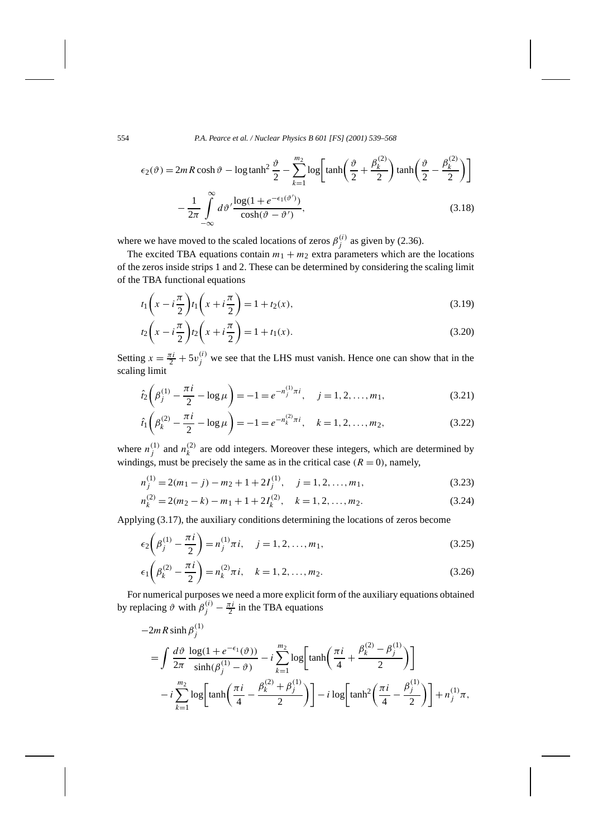554 *P.A. Pearce et al. / Nuclear Physics B 601 [FS] (2001) 539–568*

$$
\epsilon_2(\vartheta) = 2mR \cosh \vartheta - \log \tanh^2 \frac{\vartheta}{2} - \sum_{k=1}^{m_2} \log \left[ \tanh \left( \frac{\vartheta}{2} + \frac{\beta_k^{(2)}}{2} \right) \tanh \left( \frac{\vartheta}{2} - \frac{\beta_k^{(2)}}{2} \right) \right]
$$

$$
- \frac{1}{2\pi} \int_{-\infty}^{\infty} d\vartheta' \frac{\log(1 + e^{-\epsilon_1(\vartheta')})}{\cosh(\vartheta - \vartheta')}, \tag{3.18}
$$

where we have moved to the scaled locations of zeros  $\beta_j^{(i)}$  as given by (2.36).

The excited TBA equations contain  $m_1 + m_2$  extra parameters which are the locations of the zeros inside strips 1 and 2. These can be determined by considering the scaling limit of the TBA functional equations

$$
t_1\left(x - i\frac{\pi}{2}\right)t_1\left(x + i\frac{\pi}{2}\right) = 1 + t_2(x),\tag{3.19}
$$

$$
t_2\left(x - i\frac{\pi}{2}\right)t_2\left(x + i\frac{\pi}{2}\right) = 1 + t_1(x). \tag{3.20}
$$

Setting  $x = \frac{\pi i}{2} + 5v_j^{(i)}$  we see that the LHS must vanish. Hence one can show that in the scaling limit

$$
\hat{t}_2 \left( \beta_j^{(1)} - \frac{\pi i}{2} - \log \mu \right) = -1 = e^{-n_j^{(1)}} \pi i, \quad j = 1, 2, \dots, m_1,
$$
\n(3.21)

$$
\hat{t}_1 \left( \beta_k^{(2)} - \frac{\pi i}{2} - \log \mu \right) = -1 = e^{-n_k^{(2)} \pi i}, \quad k = 1, 2, \dots, m_2,
$$
\n(3.22)

where  $n_j^{(1)}$  and  $n_k^{(2)}$  are odd integers. Moreover these integers, which are determined by windings, must be precisely the same as in the critical case  $(R = 0)$ , namely,

$$
n_j^{(1)} = 2(m_1 - j) - m_2 + 1 + 2I_j^{(1)}, \quad j = 1, 2, ..., m_1,
$$
\n(3.23)

$$
n_k^{(2)} = 2(m_2 - k) - m_1 + 1 + 2I_k^{(2)}, \quad k = 1, 2, \dots, m_2.
$$
 (3.24)

Applying (3.17), the auxiliary conditions determining the locations of zeros become

$$
\epsilon_2 \left( \beta_j^{(1)} - \frac{\pi i}{2} \right) = n_j^{(1)} \pi i, \quad j = 1, 2, ..., m_1,
$$
\n(3.25)

$$
\epsilon_1 \left( \beta_k^{(2)} - \frac{\pi i}{2} \right) = n_k^{(2)} \pi i, \quad k = 1, 2, ..., m_2.
$$
 (3.26)

For numerical purposes we need a more explicit form of the auxiliary equations obtained by replacing  $\vartheta$  with  $\beta_j^{(i)} - \frac{\pi i}{2}$  in the TBA equations

$$
-2mR\sinh\beta_{j}^{(1)}
$$
  
=  $\int \frac{d\vartheta}{2\pi} \frac{\log(1+e^{-\epsilon_{1}}(\vartheta))}{\sinh(\beta_{j}^{(1)}-\vartheta)} - i \sum_{k=1}^{m_{2}} \log\left[\tanh\left(\frac{\pi i}{4}+\frac{\beta_{k}^{(2)}-\beta_{j}^{(1)}}{2}\right)\right]$   
 $-i \sum_{k=1}^{m_{2}} \log\left[\tanh\left(\frac{\pi i}{4}-\frac{\beta_{k}^{(2)}+\beta_{j}^{(1)}}{2}\right)\right] - i \log\left[\tanh^{2}\left(\frac{\pi i}{4}-\frac{\beta_{j}^{(1)}}{2}\right)\right] + n_{j}^{(1)}\pi,$ 

 $\mathbf{I}$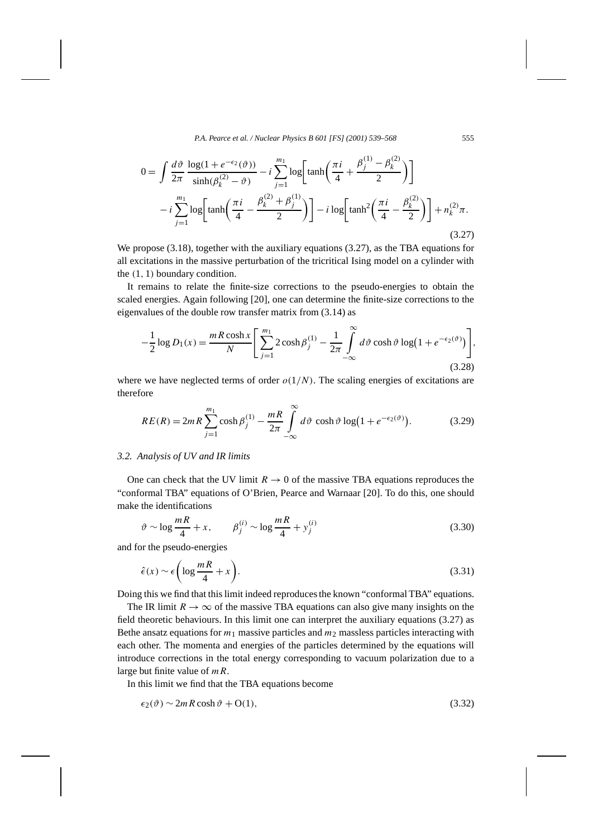$$
0 = \int \frac{d\vartheta}{2\pi} \frac{\log(1 + e^{-\epsilon_2}(\vartheta))}{\sinh(\beta_k^{(2)} - \vartheta)} - i \sum_{j=1}^{m_1} \log\left[\tanh\left(\frac{\pi i}{4} + \frac{\beta_j^{(1)} - \beta_k^{(2)}}{2}\right)\right]
$$

$$
- i \sum_{j=1}^{m_1} \log\left[\tanh\left(\frac{\pi i}{4} - \frac{\beta_k^{(2)} + \beta_j^{(1)}}{2}\right)\right] - i \log\left[\tanh^2\left(\frac{\pi i}{4} - \frac{\beta_k^{(2)}}{2}\right)\right] + n_k^{(2)}\pi.
$$
(3.27)

We propose (3.18), together with the auxiliary equations (3.27), as the TBA equations for all excitations in the massive perturbation of the tricritical Ising model on a cylinder with the *(*1*,* 1*)* boundary condition.

It remains to relate the finite-size corrections to the pseudo-energies to obtain the scaled energies. Again following [20], one can determine the finite-size corrections to the eigenvalues of the double row transfer matrix from (3.14) as

$$
-\frac{1}{2}\log D_1(x) = \frac{mR\cosh x}{N} \left[ \sum_{j=1}^{m_1} 2\cosh \beta_j^{(1)} - \frac{1}{2\pi} \int_{-\infty}^{\infty} d\vartheta \cosh \vartheta \log (1 + e^{-\epsilon_2(\vartheta)}) \right],
$$
\n(3.28)

where we have neglected terms of order  $o(1/N)$ . The scaling energies of excitations are therefore

$$
RE(R) = 2mR \sum_{j=1}^{m_1} \cosh \beta_j^{(1)} - \frac{mR}{2\pi} \int_{-\infty}^{\infty} d\vartheta \, \cosh \vartheta \log \left(1 + e^{-\epsilon_2(\vartheta)}\right). \tag{3.29}
$$

#### *3.2. Analysis of UV and IR limits*

One can check that the UV limit  $R \to 0$  of the massive TBA equations reproduces the "conformal TBA" equations of O'Brien, Pearce and Warnaar [20]. To do this, one should make the identifications

$$
\vartheta \sim \log \frac{mR}{4} + x, \qquad \beta_j^{(i)} \sim \log \frac{mR}{4} + y_j^{(i)}
$$
\n(3.30)

and for the pseudo-energies

$$
\hat{\epsilon}(x) \sim \epsilon \left( \log \frac{mR}{4} + x \right). \tag{3.31}
$$

Doing this we find that this limit indeed reproduces the known "conformal TBA" equations.

The IR limit  $R \to \infty$  of the massive TBA equations can also give many insights on the field theoretic behaviours. In this limit one can interpret the auxiliary equations (3.27) as Bethe ansatz equations for  $m_1$  massive particles and  $m_2$  massless particles interacting with each other. The momenta and energies of the particles determined by the equations will introduce corrections in the total energy corresponding to vacuum polarization due to a large but finite value of *mR*.

In this limit we find that the TBA equations become

$$
\epsilon_2(\vartheta) \sim 2mR \cosh \vartheta + O(1),\tag{3.32}
$$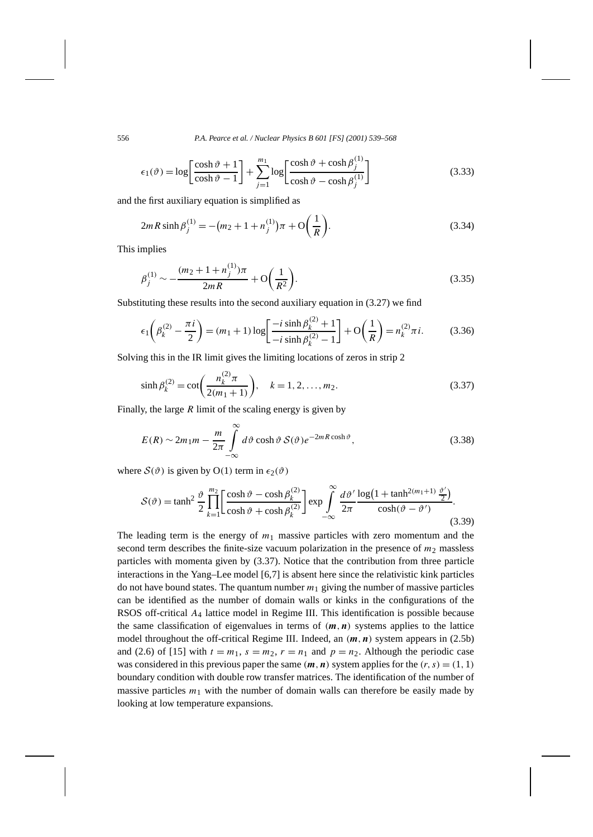556 *P.A. Pearce et al. / Nuclear Physics B 601 [FS] (2001) 539–568*

$$
\epsilon_1(\vartheta) = \log \left[ \frac{\cosh \vartheta + 1}{\cosh \vartheta - 1} \right] + \sum_{j=1}^{m_1} \log \left[ \frac{\cosh \vartheta + \cosh \beta_j^{(1)}}{\cosh \vartheta - \cosh \beta_j^{(1)}} \right]
$$
(3.33)

and the first auxiliary equation is simplified as

$$
2mR\sinh\beta_j^{(1)} = -(m_2 + 1 + n_j^{(1)})\pi + O\left(\frac{1}{R}\right).
$$
\n(3.34)

This implies

$$
\beta_j^{(1)} \sim -\frac{(m_2 + 1 + n_j^{(1)})\pi}{2mR} + \mathcal{O}\left(\frac{1}{R^2}\right). \tag{3.35}
$$

Substituting these results into the second auxiliary equation in (3.27) we find

$$
\epsilon_1 \left(\beta_k^{(2)} - \frac{\pi i}{2}\right) = (m_1 + 1)\log\left[\frac{-i\sinh\beta_k^{(2)} + 1}{-i\sinh\beta_k^{(2)} - 1}\right] + \mathcal{O}\left(\frac{1}{R}\right) = n_k^{(2)}\pi i. \tag{3.36}
$$

Solving this in the IR limit gives the limiting locations of zeros in strip 2

$$
\sinh \beta_k^{(2)} = \cot \left( \frac{n_k^{(2)} \pi}{2(m_1 + 1)} \right), \quad k = 1, 2, ..., m_2.
$$
 (3.37)

Finally, the large *R* limit of the scaling energy is given by

$$
E(R) \sim 2m_1 m - \frac{m}{2\pi} \int_{-\infty}^{\infty} d\vartheta \cosh \vartheta \, \mathcal{S}(\vartheta) e^{-2mR \cosh \vartheta},\tag{3.38}
$$

where  $S(\vartheta)$  is given by O(1) term in  $\epsilon_2(\vartheta)$ 

$$
S(\vartheta) = \tanh^2 \frac{\vartheta}{2} \prod_{k=1}^{m_2} \left[ \frac{\cosh \vartheta - \cosh \beta_k^{(2)}}{\cosh \vartheta + \cosh \beta_k^{(2)}} \right] \exp \int_{-\infty}^{\infty} \frac{d\vartheta'}{2\pi} \frac{\log \left(1 + \tanh^{2(m_1+1)} \frac{\vartheta'}{2} \right)}{\cosh(\vartheta - \vartheta')} . \tag{3.39}
$$

The leading term is the energy of  $m_1$  massive particles with zero momentum and the second term describes the finite-size vacuum polarization in the presence of  $m_2$  massless particles with momenta given by (3.37). Notice that the contribution from three particle interactions in the Yang–Lee model [6,7] is absent here since the relativistic kink particles do not have bound states. The quantum number *m*<sup>1</sup> giving the number of massive particles can be identified as the number of domain walls or kinks in the configurations of the RSOS off-critical *A*<sup>4</sup> lattice model in Regime III. This identification is possible because the same classification of eigenvalues in terms of  $(m, n)$  systems applies to the lattice model throughout the off-critical Regime III. Indeed, an *(m,n)* system appears in (2.5b) and (2.6) of [15] with  $t = m_1$ ,  $s = m_2$ ,  $r = n_1$  and  $p = n_2$ . Although the periodic case was considered in this previous paper the same  $(m, n)$  system applies for the  $(r, s) = (1, 1)$ boundary condition with double row transfer matrices. The identification of the number of massive particles  $m_1$  with the number of domain walls can therefore be easily made by looking at low temperature expansions.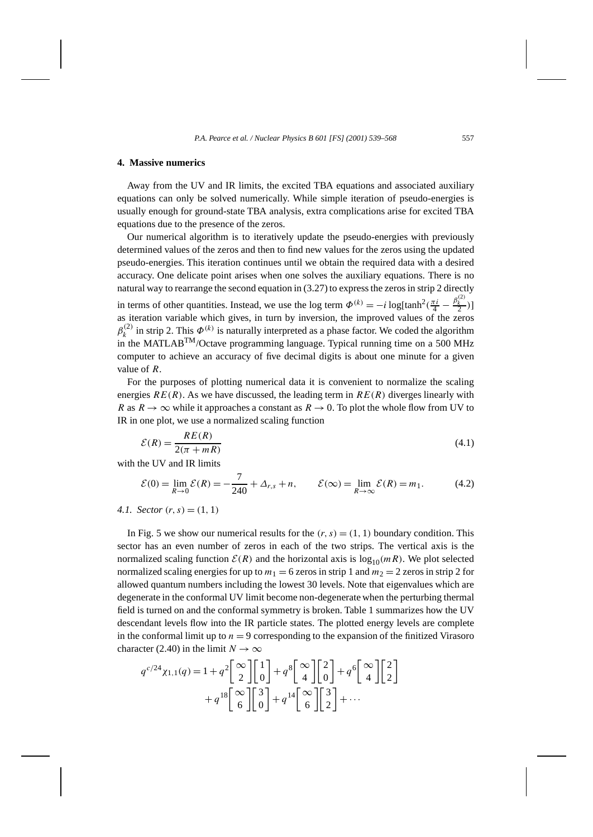#### **4. Massive numerics**

Away from the UV and IR limits, the excited TBA equations and associated auxiliary equations can only be solved numerically. While simple iteration of pseudo-energies is usually enough for ground-state TBA analysis, extra complications arise for excited TBA equations due to the presence of the zeros.

Our numerical algorithm is to iteratively update the pseudo-energies with previously determined values of the zeros and then to find new values for the zeros using the updated pseudo-energies. This iteration continues until we obtain the required data with a desired accuracy. One delicate point arises when one solves the auxiliary equations. There is no natural way to rearrange the second equation in (3.27) to express the zeros in strip 2 directly in terms of other quantities. Instead, we use the log term  $\Phi^{(k)} = -i \log[\tanh^2(\frac{\pi i}{4} - \frac{\beta_k^{(2)}}{2})]$ as iteration variable which gives, in turn by inversion, the improved values of the zeros  $\beta_k^{(2)}$  in strip 2. This  $\Phi^{(k)}$  is naturally interpreted as a phase factor. We coded the algorithm in the MATLAB<sup>TM</sup>/Octave programming language. Typical running time on a 500 MHz computer to achieve an accuracy of five decimal digits is about one minute for a given value of *R*.

For the purposes of plotting numerical data it is convenient to normalize the scaling energies  $RE(R)$ . As we have discussed, the leading term in  $RE(R)$  diverges linearly with *R* as  $R \to \infty$  while it approaches a constant as  $R \to 0$ . To plot the whole flow from UV to IR in one plot, we use a normalized scaling function

$$
\mathcal{E}(R) = \frac{RE(R)}{2(\pi + mR)}\tag{4.1}
$$

with the UV and IR limits

$$
\mathcal{E}(0) = \lim_{R \to 0} \mathcal{E}(R) = -\frac{7}{240} + \Delta_{r,s} + n, \qquad \mathcal{E}(\infty) = \lim_{R \to \infty} \mathcal{E}(R) = m_1.
$$
 (4.2)

*4.1. Sector*  $(r, s) = (1, 1)$ 

In Fig. 5 we show our numerical results for the  $(r, s) = (1, 1)$  boundary condition. This sector has an even number of zeros in each of the two strips. The vertical axis is the normalized scaling function  $\mathcal{E}(R)$  and the horizontal axis is  $\log_{10}(mR)$ . We plot selected normalized scaling energies for up to  $m_1 = 6$  zeros in strip 1 and  $m_2 = 2$  zeros in strip 2 for allowed quantum numbers including the lowest 30 levels. Note that eigenvalues which are degenerate in the conformal UV limit become non-degenerate when the perturbing thermal field is turned on and the conformal symmetry is broken. Table 1 summarizes how the UV descendant levels flow into the IR particle states. The plotted energy levels are complete in the conformal limit up to  $n = 9$  corresponding to the expansion of the finitized Virasoro character (2.40) in the limit  $N \to \infty$ 

$$
q^{c/24}\chi_{1,1}(q) = 1 + q^2 \begin{bmatrix} \infty \\ 2 \end{bmatrix} \begin{bmatrix} 1 \\ 0 \end{bmatrix} + q^8 \begin{bmatrix} \infty \\ 4 \end{bmatrix} \begin{bmatrix} 2 \\ 0 \end{bmatrix} + q^6 \begin{bmatrix} \infty \\ 4 \end{bmatrix} \begin{bmatrix} 2 \\ 2 \end{bmatrix} + q^{18} \begin{bmatrix} \infty \\ 6 \end{bmatrix} \begin{bmatrix} 3 \\ 0 \end{bmatrix} + q^{14} \begin{bmatrix} \infty \\ 6 \end{bmatrix} \begin{bmatrix} 3 \\ 2 \end{bmatrix} + \cdots
$$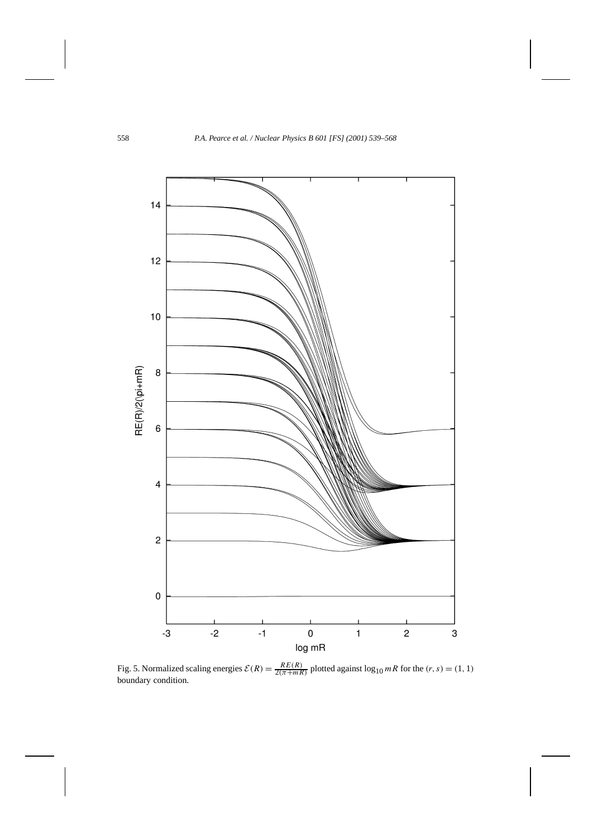

Fig. 5. Normalized scaling energies  $\mathcal{E}(R) = \frac{RE(R)}{2(\pi + mR)}$  plotted against  $\log_{10} mR$  for the  $(r, s) = (1, 1)$ boundary condition.

 $\mathbf{I}$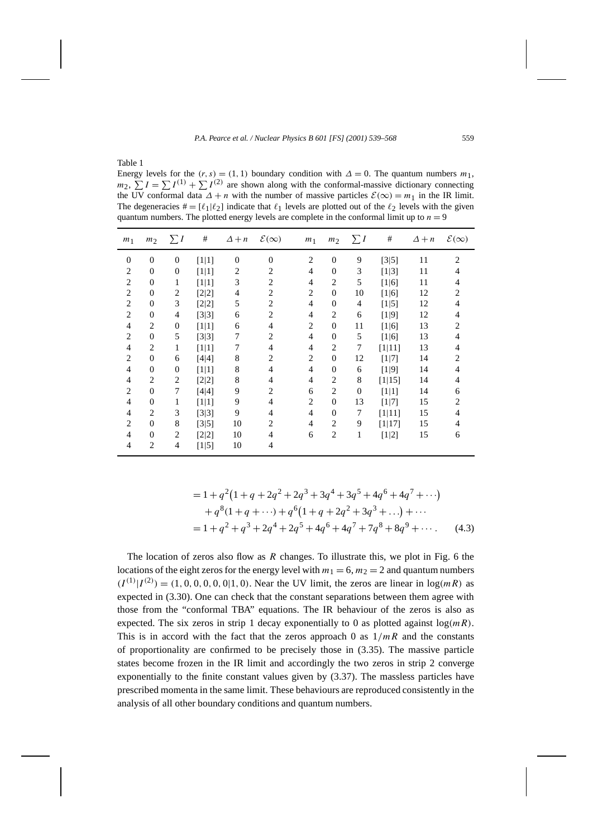Table 1

Energy levels for the  $(r, s) = (1, 1)$  boundary condition with  $\Delta = 0$ . The quantum numbers  $m_1$ ,  $m_2$ ,  $\sum I = \sum I^{(1)} + \sum I^{(2)}$  are shown along with the conformal-massive dictionary connecting the UV conformal data  $\Delta + n$  with the number of massive particles  $\mathcal{E}(\infty) = m_1$  in the IR limit. The degeneracies  $\mathbf{H} = [\ell_1 | \ell_2]$  indicate that  $\ell_1$  levels are plotted out of the  $\ell_2$  levels with the given quantum numbers. The plotted energy levels are complete in the conformal limit up to  $n = 9$ 

| m <sub>1</sub> | m <sub>2</sub>   | $\sum I$       | #       | $\Delta + n$ | $\mathcal{E}(\infty)$ | m <sub>1</sub> | m <sub>2</sub> | $\sum I$       | #       | $\Delta + n$ | $\mathcal{E}(\infty)$ |
|----------------|------------------|----------------|---------|--------------|-----------------------|----------------|----------------|----------------|---------|--------------|-----------------------|
| $\Omega$       | $\overline{0}$   | $\overline{0}$ | $[1 1]$ | $\Omega$     | $\Omega$              | $\overline{2}$ | $\Omega$       | 9              | $[3 5]$ | 11           | $\overline{2}$        |
| 2              | $\overline{0}$   | $\overline{0}$ | $[1 1]$ | 2            | 2                     | $\overline{4}$ | $\Omega$       | 3              | $[1 3]$ | 11           | 4                     |
| $\overline{c}$ | $\mathbf{0}$     | 1              | $[1 1]$ | 3            | $\overline{2}$        | 4              | $\overline{c}$ | 5              | [1 6]   | 11           | 4                     |
| 2              | $\overline{0}$   | 2              | $[2 2]$ | 4            | 2                     | $\overline{2}$ | $\Omega$       | 10             | [1 6]   | 12           | 2                     |
| 2              | $\overline{0}$   | 3              | $[2 2]$ | 5            | $\overline{2}$        | 4              | $\Omega$       | $\overline{4}$ | $[1 5]$ | 12           | 4                     |
| 2              | $\Omega$         | 4              | $[3 3]$ | 6            | $\overline{2}$        | 4              | 2              | 6              | $[1 9]$ | 12           | 4                     |
| $\overline{4}$ | 2                | $\overline{0}$ | [1 1]   | 6            | 4                     | $\overline{2}$ | $\Omega$       | 11             | $[1 6]$ | 13           | 2                     |
| 2              | $\mathbf{0}$     | 5              | $[3 3]$ | 7            | 2                     | 4              | $\Omega$       | 5              | $[1 6]$ | 13           | 4                     |
| 4              | 2                | 1              | $[1 1]$ | 7            | 4                     | 4              | $\overline{c}$ | 7              | [1 11]  | 13           | 4                     |
| 2              | $\mathbf{0}$     | 6              | $[4 4]$ | 8            | 2                     | $\overline{2}$ | $\Omega$       | 12             | $[1 7]$ | 14           | 2                     |
| 4              | $\overline{0}$   | $\overline{0}$ | $[1 1]$ | 8            | $\overline{4}$        | 4              | $\overline{0}$ | 6              | [1 9]   | 14           | 4                     |
| 4              | 2                | 2              | $[2 2]$ | 8            | 4                     | 4              | 2              | 8              | [1 15]  | 14           | 4                     |
| 2              | $\mathbf{0}$     | $\tau$         | $[4 4]$ | 9            | 2                     | 6              | $\overline{c}$ | $\mathbf{0}$   | $[1 1]$ | 14           | 6                     |
| 4              | $\boldsymbol{0}$ | 1              | $[1 1]$ | 9            | 4                     | 2              | $\overline{0}$ | 13             | $[1 7]$ | 15           | 2                     |
| $\overline{4}$ | $\overline{c}$   | 3              | $[3 3]$ | 9            | $\overline{4}$        | 4              | $\Omega$       | 7              | [1 11]  | 15           | 4                     |
| 2              | $\mathbf{0}$     | 8              | $[3 5]$ | 10           | 2                     | 4              | $\overline{2}$ | 9              | [1 17]  | 15           | 4                     |
| $\overline{4}$ | $\mathbf{0}$     | 2              | $[2 2]$ | 10           | $\overline{4}$        | 6              | $\overline{c}$ | 1              | $[1 2]$ | 15           | 6                     |
| 4              | 2                | 4              | $[1 5]$ | 10           | $\overline{4}$        |                |                |                |         |              |                       |

$$
= 1 + q2(1 + q + 2q2 + 2q3 + 3q4 + 3q5 + 4q6 + 4q7 + \cdots)
$$
  
+ q<sup>8</sup>(1 + q + \cdots) + q<sup>6</sup>(1 + q + 2q<sup>2</sup> + 3q<sup>3</sup> + \cdots) + \cdots  
= 1 + q<sup>2</sup> + q<sup>3</sup> + 2q<sup>4</sup> + 2q<sup>5</sup> + 4q<sup>6</sup> + 4q<sup>7</sup> + 7q<sup>8</sup> + 8q<sup>9</sup> + \cdots (4.3)

The location of zeros also flow as *R* changes. To illustrate this, we plot in Fig. 6 the locations of the eight zeros for the energy level with  $m_1 = 6$ ,  $m_2 = 2$  and quantum numbers  $(I^{(1)}|I^{(2)}) = (1, 0, 0, 0, 0, 0|1, 0)$ . Near the UV limit, the zeros are linear in  $\log(mR)$  as expected in (3.30). One can check that the constant separations between them agree with those from the "conformal TBA" equations. The IR behaviour of the zeros is also as expected. The six zeros in strip 1 decay exponentially to 0 as plotted against  $log(mR)$ . This is in accord with the fact that the zeros approach 0 as  $1/mR$  and the constants of proportionality are confirmed to be precisely those in (3.35). The massive particle states become frozen in the IR limit and accordingly the two zeros in strip 2 converge exponentially to the finite constant values given by (3.37). The massless particles have prescribed momenta in the same limit. These behaviours are reproduced consistently in the analysis of all other boundary conditions and quantum numbers.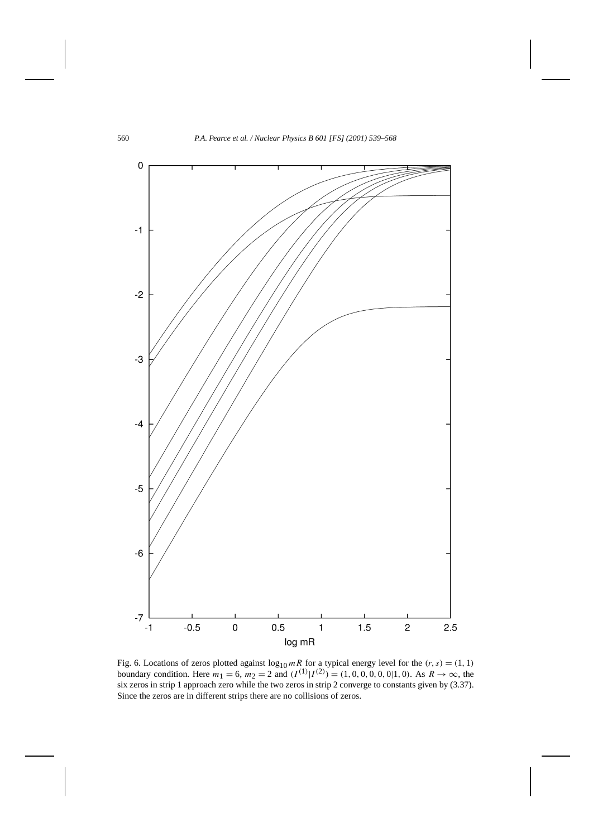

Fig. 6. Locations of zeros plotted against  $\log_{10} mR$  for a typical energy level for the  $(r, s) = (1, 1)$ boundary condition. Here  $m_1 = 6$ ,  $m_2 = 2$  and  $(I^{(1)}|I^{(2)}) = (1, 0, 0, 0, 0, 0, 1, 0)$ . As  $R \to \infty$ , the six zeros in strip 1 approach zero while the two zeros in strip 2 converge to constants given by (3.37). Since the zeros are in different strips there are no collisions of zeros.

 $\mathbf{I}$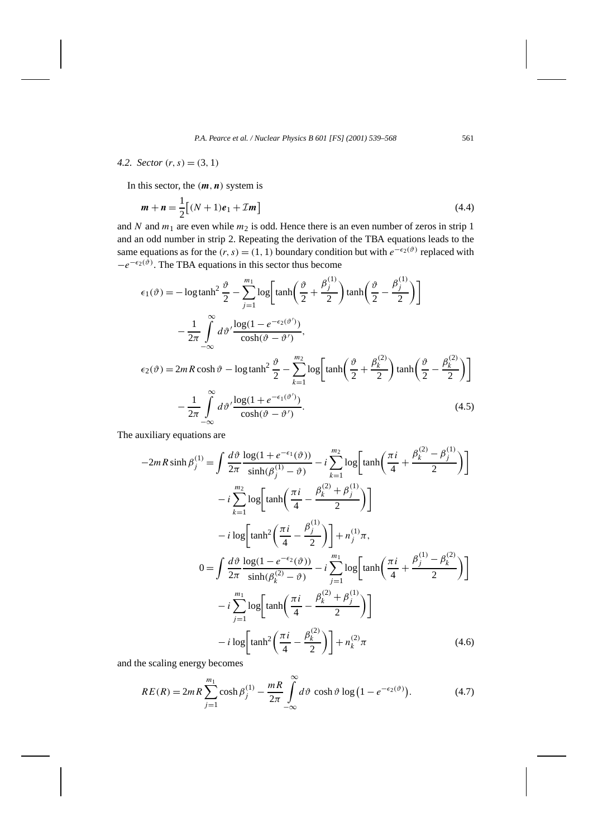*4.2. Sector*  $(r, s) = (3, 1)$ 

In this sector, the  $(m, n)$  system is

$$
m + n = \frac{1}{2} [(N + 1)e_1 + \mathcal{I}m]
$$
 (4.4)

and *N* and  $m_1$  are even while  $m_2$  is odd. Hence there is an even number of zeros in strip 1 and an odd number in strip 2. Repeating the derivation of the TBA equations leads to the same equations as for the  $(r, s) = (1, 1)$  boundary condition but with  $e^{-\epsilon_2(\vartheta)}$  replaced with  $-e^{-\epsilon_2(\tilde{\vartheta})}$ . The TBA equations in this sector thus become

$$
\epsilon_1(\vartheta) = -\log \tanh^2 \frac{\vartheta}{2} - \sum_{j=1}^{m_1} \log \left[ \tanh \left( \frac{\vartheta}{2} + \frac{\beta_j^{(1)}}{2} \right) \tanh \left( \frac{\vartheta}{2} - \frac{\beta_j^{(1)}}{2} \right) \right]
$$

$$
- \frac{1}{2\pi} \int_{-\infty}^{\infty} d\vartheta' \frac{\log(1 - e^{-\epsilon_2(\vartheta')})}{\cosh(\vartheta - \vartheta')},
$$

$$
\epsilon_2(\vartheta) = 2mR \cosh \vartheta - \log \tanh^2 \frac{\vartheta}{2} - \sum_{k=1}^{m_2} \log \left[ \tanh \left( \frac{\vartheta}{2} + \frac{\beta_k^{(2)}}{2} \right) \tanh \left( \frac{\vartheta}{2} - \frac{\beta_k^{(2)}}{2} \right) \right]
$$

$$
- \frac{1}{2\pi} \int_{-\infty}^{\infty} d\vartheta' \frac{\log(1 + e^{-\epsilon_1(\vartheta')})}{\cosh(\vartheta - \vartheta')}.
$$
(4.5)

The auxiliary equations are

$$
-2mR\sinh\beta_{j}^{(1)} = \int \frac{d\vartheta}{2\pi} \frac{\log(1 + e^{-\epsilon_{1}}(\vartheta))}{\sinh(\beta_{j}^{(1)} - \vartheta)} - i \sum_{k=1}^{m_{2}} \log\left[\tanh\left(\frac{\pi i}{4} + \frac{\beta_{k}^{(2)} - \beta_{j}^{(1)}}{2}\right)\right]
$$
  

$$
- i \sum_{k=1}^{m_{2}} \log\left[\tanh\left(\frac{\pi i}{4} - \frac{\beta_{k}^{(2)} + \beta_{j}^{(1)}}{2}\right)\right]
$$

$$
- i \log\left[\tanh^{2}\left(\frac{\pi i}{4} - \frac{\beta_{j}^{(1)}}{2}\right)\right] + n_{j}^{(1)}\pi,
$$

$$
0 = \int \frac{d\vartheta}{2\pi} \frac{\log(1 - e^{-\epsilon_{2}}(\vartheta))}{\sinh(\beta_{k}^{(2)} - \vartheta)} - i \sum_{j=1}^{m_{1}} \log\left[\tanh\left(\frac{\pi i}{4} + \frac{\beta_{j}^{(1)} - \beta_{k}^{(2)}}{2}\right)\right]
$$

$$
- i \sum_{j=1}^{m_{1}} \log\left[\tanh\left(\frac{\pi i}{4} - \frac{\beta_{k}^{(2)} + \beta_{j}^{(1)}}{2}\right)\right]
$$

$$
- i \log\left[\tanh^{2}\left(\frac{\pi i}{4} - \frac{\beta_{k}^{(2)}}{2}\right)\right] + n_{k}^{(2)}\pi
$$
(4.6)

and the scaling energy becomes

$$
RE(R) = 2mR \sum_{j=1}^{m_1} \cosh \beta_j^{(1)} - \frac{mR}{2\pi} \int_{-\infty}^{\infty} d\vartheta \, \cosh \vartheta \log \left(1 - e^{-\epsilon_2(\vartheta)}\right). \tag{4.7}
$$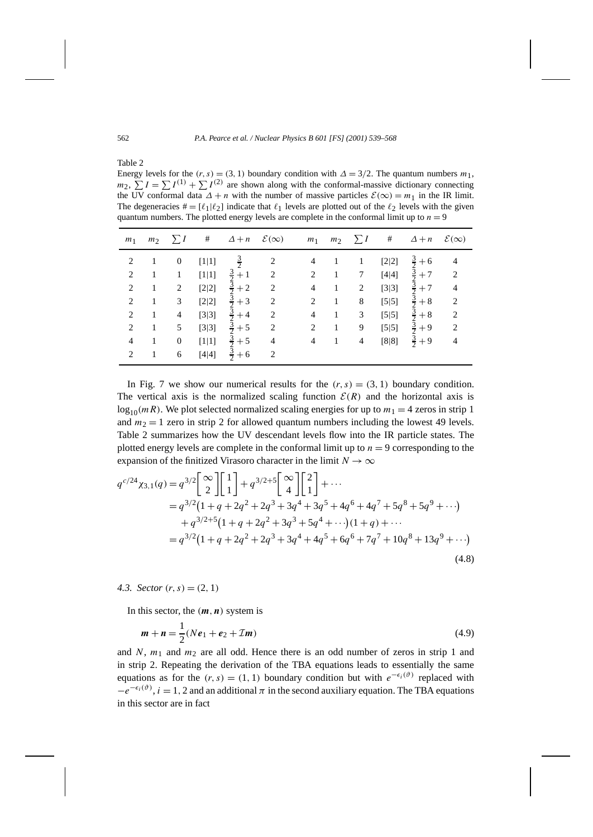Table 2

Energy levels for the  $(r, s) = (3, 1)$  boundary condition with  $\Delta = 3/2$ . The quantum numbers  $m_1$ ,  $m_2$ ,  $\sum I = \sum I^{(1)} + \sum I^{(2)}$  are shown along with the conformal-massive dictionary connecting the UV conformal data  $\Delta + n$  with the number of massive particles  $\mathcal{E}(\infty) = m_1$  in the IR limit. The degeneracies  $\mathbf{H} = [\ell_1 | \ell_2]$  indicate that  $\ell_1$  levels are plotted out of the  $\ell_2$  levels with the given quantum numbers. The plotted energy levels are complete in the conformal limit up to  $n = 9$ 

| m <sub>1</sub> | m <sub>2</sub> | $\Sigma I$       | $\#$    | $\Delta + n$                    | $\mathcal{E}(\infty)$ | m <sub>1</sub> | m <sub>2</sub> | $\Sigma I$ | #       | $\Delta + n$          | $\mathcal{E}(\infty)$ |
|----------------|----------------|------------------|---------|---------------------------------|-----------------------|----------------|----------------|------------|---------|-----------------------|-----------------------|
| 2              |                | $\boldsymbol{0}$ | [1 1]   | $\frac{3}{2}$                   | 2                     | $\overline{4}$ | 1              | 1          | $[2 2]$ | $rac{3}{2}$<br>$+6$   | $\overline{4}$        |
| $\overline{2}$ | 1              | 1                | $[1 1]$ | $\frac{3}{2}$<br>$+1$           | 2                     | 2              | 1              | 7          | [4 4]   | $\frac{3}{2}$<br>$+7$ | $\overline{2}$        |
| $\overline{2}$ | 1              | 2                | [2 2]   | $\frac{3}{2}$<br>$+2$           | $\overline{2}$        | $\overline{4}$ | 1              | 2          | [3 3]   | $\frac{3}{2}+7$       | $\overline{4}$        |
| $\overline{2}$ |                | 3                | [2 2]   | $\frac{3}{2}$<br>$+3$           | $\overline{2}$        | 2              | 1              | 8          | $[5 5]$ | $\frac{3}{2}$<br>$+8$ | $\overline{2}$        |
| $\overline{2}$ | 1              | $\overline{4}$   | [3 3]   | $\frac{3}{2}$<br>$+4$           | $\overline{2}$        | $\overline{4}$ | 1              | 3          | $[5 5]$ | $rac{3}{2}+8$         | $\overline{2}$        |
| 2              |                | 5                | [3 3]   | $rac{3}{2}$<br>$+5$             | $\overline{2}$        | 2              | 1              | 9          | $[5 5]$ | $\frac{3}{2}+9$       | $\overline{c}$        |
| $\overline{4}$ |                | $\boldsymbol{0}$ | [1 1]   | $rac{3}{2}$ $rac{3}{2}$<br>$+5$ | $\overline{4}$        | $\overline{4}$ | 1              | 4          | [8 8]   | $rac{3}{2}+9$         | $\overline{4}$        |
| $\overline{c}$ |                | 6                | [4 4]   | $+6$                            | 2                     |                |                |            |         |                       |                       |

In Fig. 7 we show our numerical results for the  $(r, s) = (3, 1)$  boundary condition. The vertical axis is the normalized scaling function  $\mathcal{E}(R)$  and the horizontal axis is  $\log_{10}(mR)$ . We plot selected normalized scaling energies for up to  $m_1 = 4$  zeros in strip 1 and  $m_2 = 1$  zero in strip 2 for allowed quantum numbers including the lowest 49 levels. Table 2 summarizes how the UV descendant levels flow into the IR particle states. The plotted energy levels are complete in the conformal limit up to  $n = 9$  corresponding to the expansion of the finitized Virasoro character in the limit  $N \to \infty$ 

$$
q^{c/24}\chi_{3,1}(q) = q^{3/2} \begin{bmatrix} \infty \\ 2 \end{bmatrix} \begin{bmatrix} 1 \\ 1 \end{bmatrix} + q^{3/2+5} \begin{bmatrix} \infty \\ 4 \end{bmatrix} \begin{bmatrix} 2 \\ 1 \end{bmatrix} + \cdots
$$
  
\n
$$
= q^{3/2} (1 + q + 2q^2 + 2q^3 + 3q^4 + 3q^5 + 4q^6 + 4q^7 + 5q^8 + 5q^9 + \cdots)
$$
  
\n
$$
+ q^{3/2+5} (1 + q + 2q^2 + 3q^3 + 5q^4 + \cdots)(1 + q) + \cdots
$$
  
\n
$$
= q^{3/2} (1 + q + 2q^2 + 2q^3 + 3q^4 + 4q^5 + 6q^6 + 7q^7 + 10q^8 + 13q^9 + \cdots)
$$
  
\n(4.8)

# *4.3. Sector*  $(r, s) = (2, 1)$

In this sector, the  $(m, n)$  system is

$$
m + n = \frac{1}{2}(Ne_1 + e_2 + \mathcal{I}m)
$$
\n(4.9)

and  $N$ ,  $m_1$  and  $m_2$  are all odd. Hence there is an odd number of zeros in strip 1 and in strip 2. Repeating the derivation of the TBA equations leads to essentially the same equations as for the  $(r, s) = (1, 1)$  boundary condition but with  $e^{-\epsilon_i(\vartheta)}$  replaced with  $-e^{-\epsilon_i(\vartheta)}$ , *i* = 1, 2 and an additional  $\pi$  in the second auxiliary equation. The TBA equations in this sector are in fact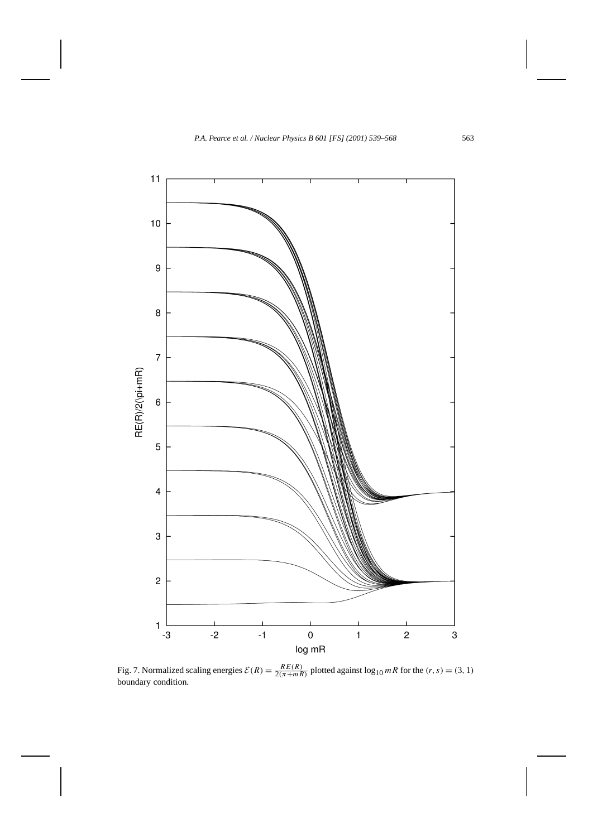

Fig. 7. Normalized scaling energies  $\mathcal{E}(R) = \frac{RE(R)}{2(\pi + mR)}$  plotted against  $\log_{10} mR$  for the  $(r, s) = (3, 1)$ boundary condition.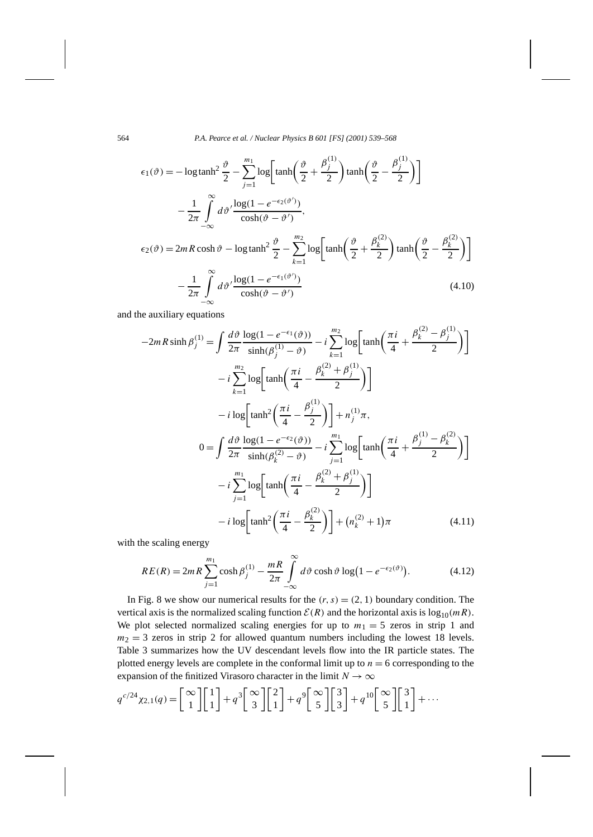564 *P.A. Pearce et al. / Nuclear Physics B 601 [FS] (2001) 539–568*

$$
\epsilon_1(\vartheta) = -\log \tanh^2 \frac{\vartheta}{2} - \sum_{j=1}^{m_1} \log \left[ \tanh \left( \frac{\vartheta}{2} + \frac{\beta_j^{(1)}}{2} \right) \tanh \left( \frac{\vartheta}{2} - \frac{\beta_j^{(1)}}{2} \right) \right]
$$

$$
- \frac{1}{2\pi} \int_{-\infty}^{\infty} d\vartheta' \frac{\log(1 - e^{-\epsilon_2(\vartheta')})}{\cosh(\vartheta - \vartheta')},
$$

$$
\epsilon_2(\vartheta) = 2mR \cosh \vartheta - \log \tanh^2 \frac{\vartheta}{2} - \sum_{k=1}^{m_2} \log \left[ \tanh \left( \frac{\vartheta}{2} + \frac{\beta_k^{(2)}}{2} \right) \tanh \left( \frac{\vartheta}{2} - \frac{\beta_k^{(2)}}{2} \right) \right]
$$

$$
- \frac{1}{2\pi} \int_{-\infty}^{\infty} d\vartheta' \frac{\log(1 - e^{-\epsilon_1(\vartheta')})}{\cosh(\vartheta - \vartheta')}
$$
(4.10)

and the auxiliary equations

$$
-2mR\sinh\beta_{j}^{(1)} = \int \frac{d\vartheta}{2\pi} \frac{\log(1 - e^{-\epsilon_{1}}(\vartheta))}{\sinh(\beta_{j}^{(1)} - \vartheta)} - i \sum_{k=1}^{m_{2}} \log\left[\tanh\left(\frac{\pi i}{4} + \frac{\beta_{k}^{(2)} - \beta_{j}^{(1)}}{2}\right)\right]
$$
  

$$
- i \sum_{k=1}^{m_{2}} \log\left[\tanh\left(\frac{\pi i}{4} - \frac{\beta_{k}^{(2)} + \beta_{j}^{(1)}}{2}\right)\right]
$$

$$
- i \log\left[\tanh^{2}\left(\frac{\pi i}{4} - \frac{\beta_{j}^{(1)}}{2}\right)\right] + n_{j}^{(1)}\pi,
$$

$$
0 = \int \frac{d\vartheta}{2\pi} \frac{\log(1 - e^{-\epsilon_{2}}(\vartheta))}{\sinh(\beta_{k}^{(2)} - \vartheta)} - i \sum_{j=1}^{m_{1}} \log\left[\tanh\left(\frac{\pi i}{4} + \frac{\beta_{j}^{(1)} - \beta_{k}^{(2)}}{2}\right)\right]
$$

$$
- i \sum_{j=1}^{m_{1}} \log\left[\tanh\left(\frac{\pi i}{4} - \frac{\beta_{k}^{(2)} + \beta_{j}^{(1)}}{2}\right)\right]
$$

$$
- i \log\left[\tanh^{2}\left(\frac{\pi i}{4} - \frac{\beta_{k}^{(2)}}{2}\right)\right] + (n_{k}^{(2)} + 1)\pi
$$
(4.11)

with the scaling energy

 $\mathbf{I}$ 

$$
RE(R) = 2mR \sum_{j=1}^{m_1} \cosh \beta_j^{(1)} - \frac{mR}{2\pi} \int_{-\infty}^{\infty} d\vartheta \cosh \vartheta \log (1 - e^{-\epsilon_2(\vartheta)})
$$
 (4.12)

In Fig. 8 we show our numerical results for the  $(r, s) = (2, 1)$  boundary condition. The vertical axis is the normalized scaling function  $\mathcal{E}(R)$  and the horizontal axis is  $\log_{10}(mR)$ . We plot selected normalized scaling energies for up to  $m_1 = 5$  zeros in strip 1 and  $m_2 = 3$  zeros in strip 2 for allowed quantum numbers including the lowest 18 levels. Table 3 summarizes how the UV descendant levels flow into the IR particle states. The plotted energy levels are complete in the conformal limit up to  $n = 6$  corresponding to the expansion of the finitized Virasoro character in the limit  $N \to \infty$ 

$$
q^{c/24}\chi_{2,1}(q) = \begin{bmatrix} \infty \\ 1 \end{bmatrix} \begin{bmatrix} 1 \\ 1 \end{bmatrix} + q^3 \begin{bmatrix} \infty \\ 3 \end{bmatrix} \begin{bmatrix} 2 \\ 1 \end{bmatrix} + q^9 \begin{bmatrix} \infty \\ 5 \end{bmatrix} \begin{bmatrix} 3 \\ 3 \end{bmatrix} + q^{10} \begin{bmatrix} \infty \\ 5 \end{bmatrix} \begin{bmatrix} 3 \\ 1 \end{bmatrix} + \cdots
$$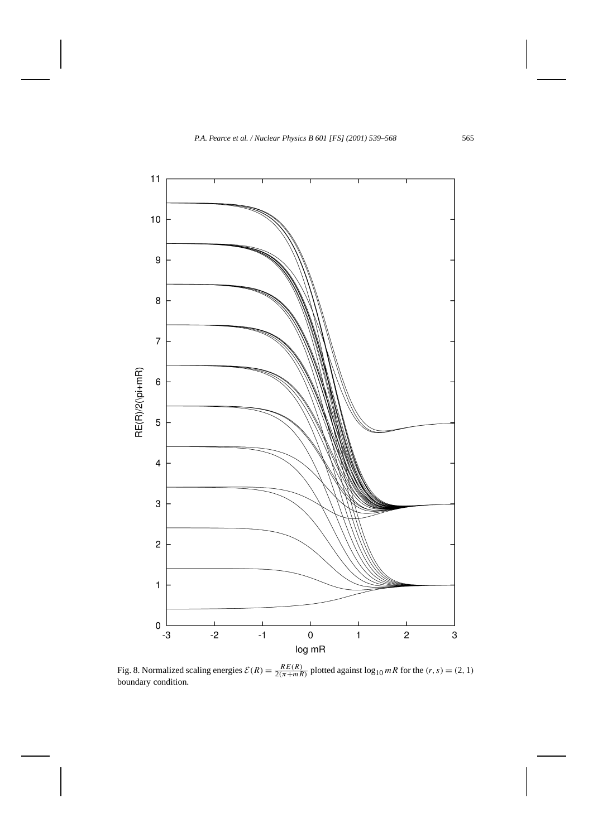

Fig. 8. Normalized scaling energies  $\mathcal{E}(R) = \frac{RE(R)}{2(\pi + mR)}$  plotted against  $\log_{10} mR$  for the  $(r, s) = (2, 1)$ boundary condition.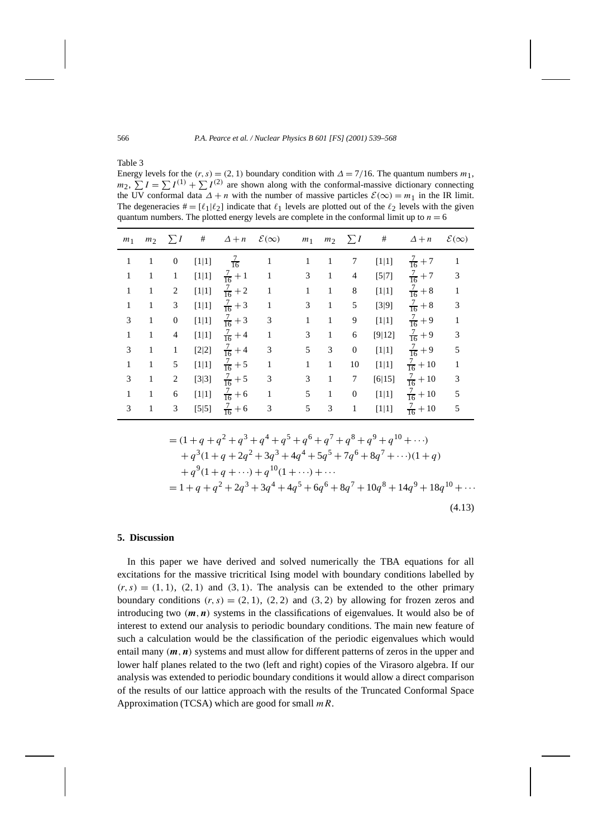Table 3

Energy levels for the  $(r, s) = (2, 1)$  boundary condition with  $\Delta = 7/16$ . The quantum numbers  $m_1$ ,  $m_2$ ,  $\sum I = \sum I^{(1)} + \sum I^{(2)}$  are shown along with the conformal-massive dictionary connecting the UV conformal data  $\Delta + n$  with the number of massive particles  $\mathcal{E}(\infty) = m_1$  in the IR limit. The degeneracies  $\mathbf{H} = [\ell_1 | \ell_2]$  indicate that  $\ell_1$  levels are plotted out of the  $\ell_2$  levels with the given quantum numbers. The plotted energy levels are complete in the conformal limit up to  $n = 6$ 

| m <sub>1</sub> | m <sub>2</sub> | $\sum I$         | #       | $\Delta + n$       | $\mathcal{E}(\infty)$ | m <sub>1</sub> | m <sub>2</sub> | $\sum I$         | $^{\#}$ | $\Delta + n$        | $\mathcal{E}(\infty)$ |
|----------------|----------------|------------------|---------|--------------------|-----------------------|----------------|----------------|------------------|---------|---------------------|-----------------------|
| $\mathbf{1}$   | $\mathbf{1}$   | $\boldsymbol{0}$ | [1 1]   | $\frac{7}{16}$     | $\mathbf{1}$          | $\mathbf{1}$   | $\mathbf{1}$   | 7                | [1 1]   | $\frac{7}{16} + 7$  | $\mathbf{1}$          |
| $\mathbf{1}$   | 1              | $\mathbf{1}$     | [1 1]   | $\frac{7}{16}+1$   | -1                    | 3              | $\mathbf{1}$   | 4                | $[5 7]$ | $\frac{7}{16} + 7$  | 3                     |
| $\mathbf{1}$   | 1              | 2                | [1 1]   | $\frac{7}{16} + 2$ | $\mathbf{1}$          | $\mathbf{1}$   | $\mathbf{1}$   | 8                | [1 1]   | $\frac{7}{16} + 8$  | $\mathbf{1}$          |
| $\mathbf{1}$   | 1              | 3                | [1 1]   | $\frac{7}{16} + 3$ | $\mathbf{1}$          | 3              | $\mathbf{1}$   | 5                | [3 9]   | $\frac{7}{16} + 8$  | 3                     |
| 3              | 1              | $\mathbf{0}$     | [1 1]   | $\frac{7}{16} + 3$ | 3                     | $\mathbf{1}$   | $\mathbf{1}$   | 9                | [1 1]   | $\frac{7}{16} + 9$  | $\mathbf{1}$          |
| $\mathbf{1}$   | 1              | 4                | [1 1]   | $\frac{7}{16} + 4$ | $\mathbf{1}$          | 3              | $\mathbf{1}$   | 6                | [9 12]  | $\frac{7}{16} + 9$  | 3                     |
| 3              | 1              | 1                | [2 2]   | $\frac{7}{16} + 4$ | 3                     | 5              | 3              | $\mathbf{0}$     | $[1 1]$ | $\frac{7}{16} + 9$  | 5                     |
| $\mathbf{1}$   | 1              | 5                | [1 1]   | $\frac{7}{16} + 5$ | $\mathbf{1}$          | $\mathbf{1}$   | 1              | 10               | $[1 1]$ | $\frac{7}{16} + 10$ | $\mathbf{1}$          |
| 3              | 1              | 2                | [3 3]   | $\frac{7}{16} + 5$ | 3                     | 3              | $\mathbf{1}$   | $\tau$           | [6 15]  | $\frac{7}{16} + 10$ | 3                     |
| 1              | 1              | 6                | [1 1]   | $\frac{7}{16} + 6$ | $\mathbf{1}$          | 5              | $\mathbf{1}$   | $\boldsymbol{0}$ | [1 1]   | $\frac{7}{16} + 10$ | 5                     |
| 3              | 1              | 3                | $[5 5]$ | $\frac{7}{16} + 6$ | $\mathfrak{Z}$        | 5              | 3              | $\mathbf{1}$     | [1 1]   | $\frac{7}{16} + 10$ | 5                     |

$$
= (1+q+q^2+q^3+q^4+q^5+q^6+q^7+q^8+q^9+q^{10}+\cdots) + q^3(1+q+2q^2+3q^3+4q^4+5q^5+7q^6+8q^7+\cdots)(1+q) + q^9(1+q+\cdots)+q^{10}(1+\cdots)+\cdots = 1+q+q^2+2q^3+3q^4+4q^5+6q^6+8q^7+10q^8+14q^9+18q^{10}+\cdots
$$
\n(4.13)

## **5. Discussion**

In this paper we have derived and solved numerically the TBA equations for all excitations for the massive tricritical Ising model with boundary conditions labelled by  $(r, s) = (1, 1), (2, 1)$  and  $(3, 1)$ . The analysis can be extended to the other primary boundary conditions  $(r, s) = (2, 1), (2, 2)$  and  $(3, 2)$  by allowing for frozen zeros and introducing two  $(m, n)$  systems in the classifications of eigenvalues. It would also be of interest to extend our analysis to periodic boundary conditions. The main new feature of such a calculation would be the classification of the periodic eigenvalues which would entail many *(m,n)* systems and must allow for different patterns of zeros in the upper and lower half planes related to the two (left and right) copies of the Virasoro algebra. If our analysis was extended to periodic boundary conditions it would allow a direct comparison of the results of our lattice approach with the results of the Truncated Conformal Space Approximation (TCSA) which are good for small *mR*.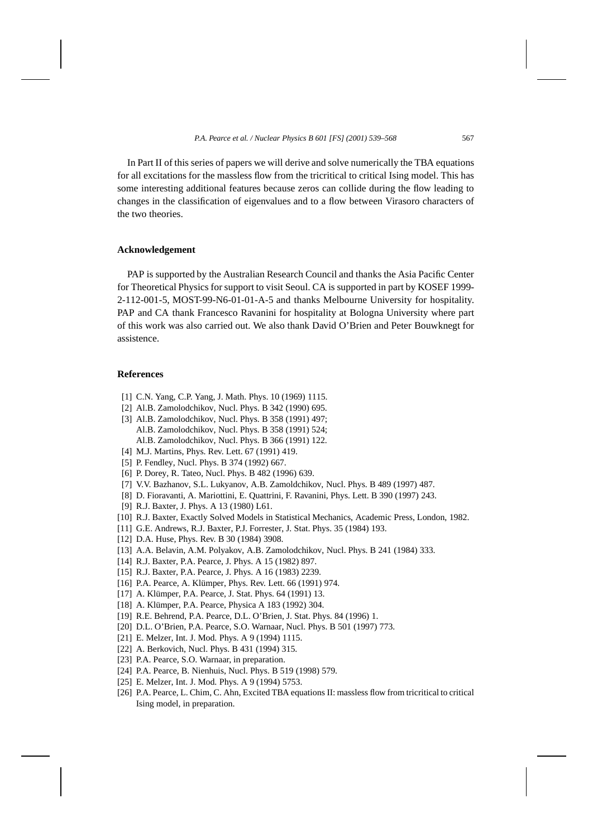In Part II of this series of papers we will derive and solve numerically the TBA equations for all excitations for the massless flow from the tricritical to critical Ising model. This has some interesting additional features because zeros can collide during the flow leading to changes in the classification of eigenvalues and to a flow between Virasoro characters of the two theories.

# **Acknowledgement**

PAP is supported by the Australian Research Council and thanks the Asia Pacific Center for Theoretical Physics for support to visit Seoul. CA is supported in part by KOSEF 1999- 2-112-001-5, MOST-99-N6-01-01-A-5 and thanks Melbourne University for hospitality. PAP and CA thank Francesco Ravanini for hospitality at Bologna University where part of this work was also carried out. We also thank David O'Brien and Peter Bouwknegt for assistence.

## **References**

- [1] C.N. Yang, C.P. Yang, J. Math. Phys. 10 (1969) 1115.
- [2] Al.B. Zamolodchikov, Nucl. Phys. B 342 (1990) 695.
- [3] Al.B. Zamolodchikov, Nucl. Phys. B 358 (1991) 497; Al.B. Zamolodchikov, Nucl. Phys. B 358 (1991) 524; Al.B. Zamolodchikov, Nucl. Phys. B 366 (1991) 122.
- [4] M.J. Martins, Phys. Rev. Lett. 67 (1991) 419.
- [5] P. Fendley, Nucl. Phys. B 374 (1992) 667.
- [6] P. Dorey, R. Tateo, Nucl. Phys. B 482 (1996) 639.
- [7] V.V. Bazhanov, S.L. Lukyanov, A.B. Zamoldchikov, Nucl. Phys. B 489 (1997) 487.
- [8] D. Fioravanti, A. Mariottini, E. Quattrini, F. Ravanini, Phys. Lett. B 390 (1997) 243.
- [9] R.J. Baxter, J. Phys. A 13 (1980) L61.
- [10] R.J. Baxter, Exactly Solved Models in Statistical Mechanics, Academic Press, London, 1982.
- [11] G.E. Andrews, R.J. Baxter, P.J. Forrester, J. Stat. Phys. 35 (1984) 193.
- [12] D.A. Huse, *Phys. Rev. B* 30 (1984) 3908.
- [13] A.A. Belavin, A.M. Polyakov, A.B. Zamolodchikov, Nucl. Phys. B 241 (1984) 333.
- [14] R.J. Baxter, P.A. Pearce, J. Phys. A 15 (1982) 897.
- [15] R.J. Baxter, P.A. Pearce, J. Phys. A 16 (1983) 2239.
- [16] P.A. Pearce, A. Klümper, Phys. Rev. Lett. 66 (1991) 974.
- [17] A. Klümper, P.A. Pearce, J. Stat. Phys. 64 (1991) 13.
- [18] A. Klümper, P.A. Pearce, Physica A 183 (1992) 304.
- [19] R.E. Behrend, P.A. Pearce, D.L. O'Brien, J. Stat. Phys. 84 (1996) 1.
- [20] D.L. O'Brien, P.A. Pearce, S.O. Warnaar, Nucl. Phys. B 501 (1997) 773.
- [21] E. Melzer, Int. J. Mod. Phys. A 9 (1994) 1115.
- [22] A. Berkovich, Nucl. Phys. B 431 (1994) 315.
- [23] P.A. Pearce, S.O. Warnaar, in preparation.
- [24] P.A. Pearce, B. Nienhuis, Nucl. Phys. B 519 (1998) 579.
- [25] E. Melzer, Int. J. Mod. Phys. A 9 (1994) 5753.
- [26] P.A. Pearce, L. Chim, C. Ahn, Excited TBA equations II: massless flow from tricritical to critical Ising model, in preparation.